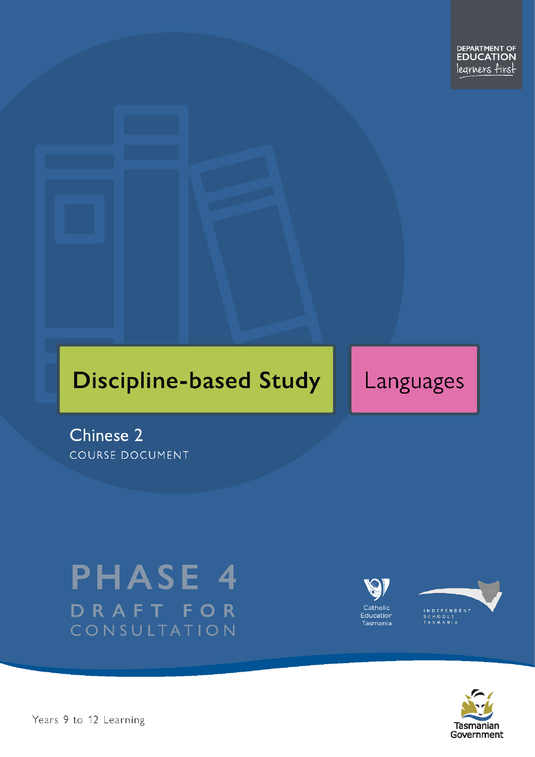# **Discipline-based Study**

Languages

Chinese 2 COURSE DOCUMENT

# **PHASE 4** DRAFT FOR CONSULTATION







Pears 9 to 12 Learning – Chinese Level 2 Page 1 of 40 April 2 Page 1 of 40 April 2 Page 1 of 40 April 2 Page 1 of 40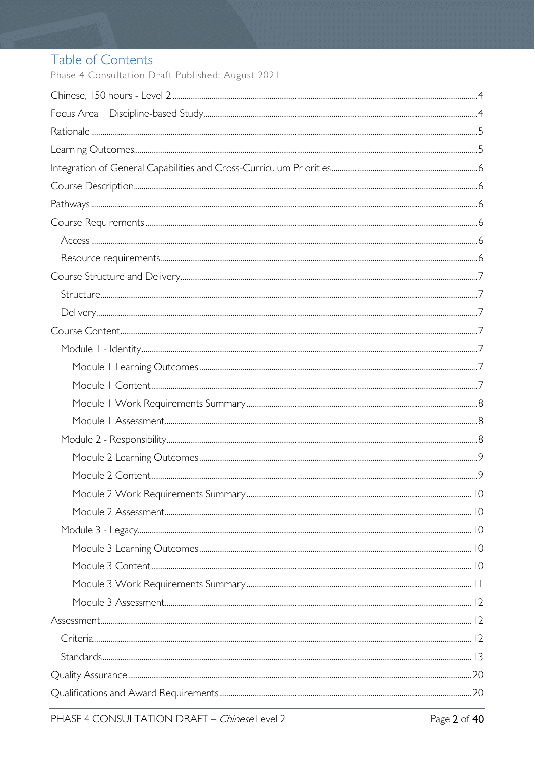# Table of Contents

Phase 4 Consultation Draft Published: August 2021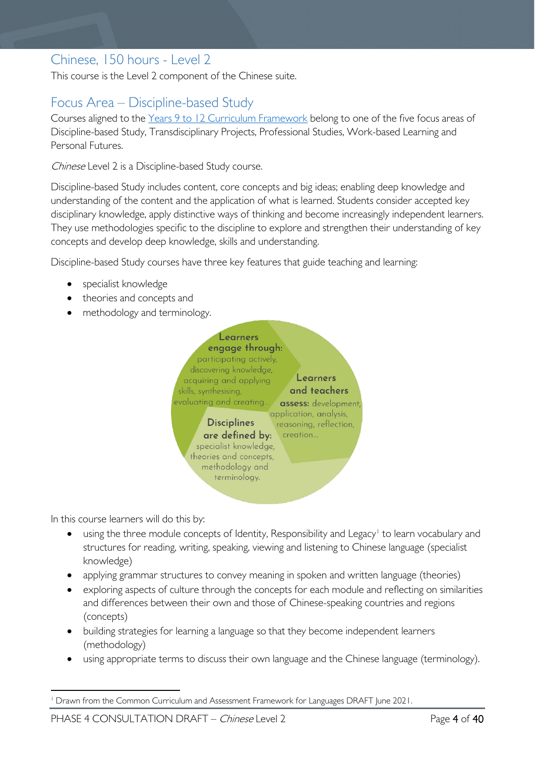# <span id="page-3-0"></span>Chinese, 150 hours - Level 2

This course is the Level 2 component of the Chinese suite.

# <span id="page-3-1"></span>Focus Area – Discipline-based Study

Courses aligned to the Years 9 to 12 Curriculum [Framework](https://publicdocumentcentre.education.tas.gov.au/library/Shared%20Documents/Education%209-12%20Frameworks%20A3%20WEB%20POSTER.pdf) belong to one of the five focus areas of Discipline-based Study, Transdisciplinary Projects, Professional Studies, Work-based Learning and Personal Futures.

Chinese Level 2 is a Discipline-based Study course.

Discipline-based Study includes content, core concepts and big ideas; enabling deep knowledge and understanding of the content and the application of what is learned. Students consider accepted key disciplinary knowledge, apply distinctive ways of thinking and become increasingly independent learners. They use methodologies specific to the discipline to explore and strengthen their understanding of key concepts and develop deep knowledge, skills and understanding.

Discipline-based Study courses have three key features that guide teaching and learning:

- specialist knowledge
- theories and concepts and
- methodology and terminology.



In this course learners will do this by:

- using the three module concepts of Identity, Responsibility and Legacy<sup>[1](#page-3-2)</sup> to learn vocabulary and structures for reading, writing, speaking, viewing and listening to Chinese language (specialist knowledge)
- applying grammar structures to convey meaning in spoken and written language (theories)
- exploring aspects of culture through the concepts for each module and reflecting on similarities and differences between their own and those of Chinese-speaking countries and regions (concepts)
- building strategies for learning a language so that they become independent learners (methodology)
- using appropriate terms to discuss their own language and the Chinese language (terminology).

<span id="page-3-2"></span><sup>1</sup> Drawn from the Common Curriculum and Assessment Framework for Languages DRAFT June 2021.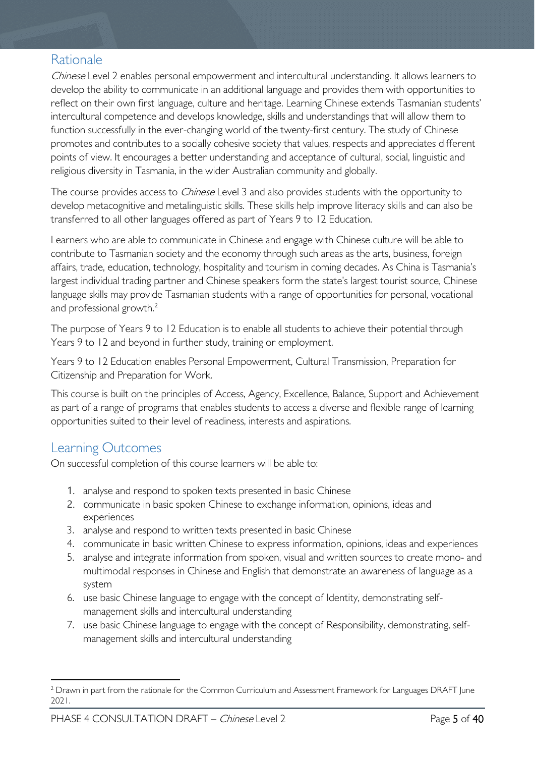# <span id="page-4-0"></span>Rationale

Chinese Level 2 enables personal empowerment and intercultural understanding. It allows learners to develop the ability to communicate in an additional language and provides them with opportunities to reflect on their own first language, culture and heritage. Learning Chinese extends Tasmanian students' intercultural competence and develops knowledge, skills and understandings that will allow them to function successfully in the ever-changing world of the twenty-first century. The study of Chinese promotes and contributes to a socially cohesive society that values, respects and appreciates different points of view. It encourages a better understanding and acceptance of cultural, social, linguistic and religious diversity in Tasmania, in the wider Australian community and globally.

The course provides access to *Chinese* Level 3 and also provides students with the opportunity to develop metacognitive and metalinguistic skills. These skills help improve literacy skills and can also be transferred to all other languages offered as part of Years 9 to 12 Education.

Learners who are able to communicate in Chinese and engage with Chinese culture will be able to contribute to Tasmanian society and the economy through such areas as the arts, business, foreign affairs, trade, education, technology, hospitality and tourism in coming decades. As China is Tasmania's largest individual trading partner and Chinese speakers form the state's largest tourist source, Chinese language skills may provide Tasmanian students with a range of opportunities for personal, vocational and professional growth. [2](#page-4-2)

The purpose of Years 9 to 12 Education is to enable all students to achieve their potential through Years 9 to 12 and beyond in further study, training or employment.

Years 9 to 12 Education enables Personal Empowerment, Cultural Transmission, Preparation for Citizenship and Preparation for Work.

This course is built on the principles of Access, Agency, Excellence, Balance, Support and Achievement as part of a range of programs that enables students to access a diverse and flexible range of learning opportunities suited to their level of readiness, interests and aspirations.

# <span id="page-4-1"></span>Learning Outcomes

On successful completion of this course learners will be able to:

- 1. analyse and respond to spoken texts presented in basic Chinese
- 2. communicate in basic spoken Chinese to exchange information, opinions, ideas and experiences
- 3. analyse and respond to written texts presented in basic Chinese
- 4. communicate in basic written Chinese to express information, opinions, ideas and experiences
- 5. analyse and integrate information from spoken, visual and written sources to create mono- and multimodal responses in Chinese and English that demonstrate an awareness of language as a system
- 6. use basic Chinese language to engage with the concept of Identity, demonstrating selfmanagement skills and intercultural understanding
- 7. use basic Chinese language to engage with the concept of Responsibility, demonstrating, selfmanagement skills and intercultural understanding

<span id="page-4-2"></span><sup>&</sup>lt;sup>2</sup> Drawn in part from the rationale for the Common Curriculum and Assessment Framework for Languages DRAFT June 2021.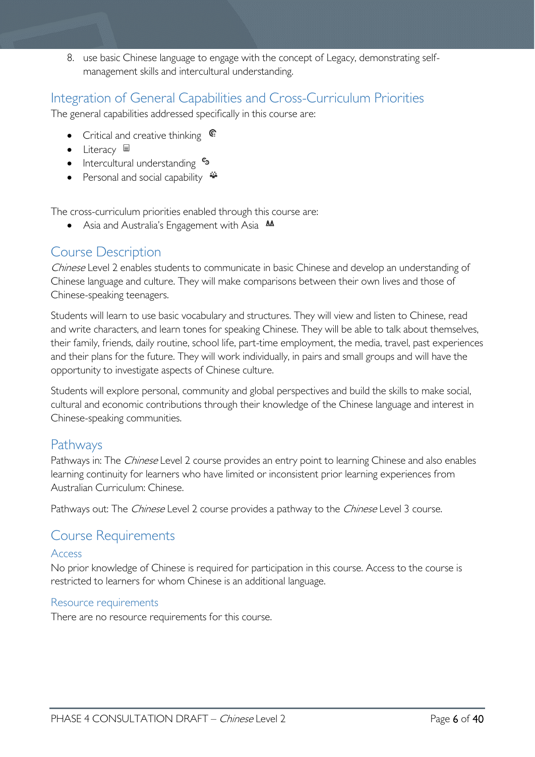8. use basic Chinese language to engage with the concept of Legacy, demonstrating selfmanagement skills and intercultural understanding.

# <span id="page-5-0"></span>Integration of General Capabilities and Cross-Curriculum Priorities

The general capabilities addressed specifically in this course are:

- Critical and creative thinking  $\epsilon$
- Literacy  $\blacksquare$
- Intercultural understanding  $\frac{c_3}{ }$
- Personal and social capability  $\ddot{\bullet}$

The cross-curriculum priorities enabled through this course are:

• Asia and Australia's Engagement with Asia **AA** 

# <span id="page-5-1"></span>Course Description

Chinese Level 2 enables students to communicate in basic Chinese and develop an understanding of Chinese language and culture. They will make comparisons between their own lives and those of Chinese-speaking teenagers.

Students will learn to use basic vocabulary and structures. They will view and listen to Chinese, read and write characters, and learn tones for speaking Chinese. They will be able to talk about themselves, their family, friends, daily routine, school life, part-time employment, the media, travel, past experiences and their plans for the future. They will work individually, in pairs and small groups and will have the opportunity to investigate aspects of Chinese culture.

Students will explore personal, community and global perspectives and build the skills to make social, cultural and economic contributions through their knowledge of the Chinese language and interest in Chinese-speaking communities.

# <span id="page-5-2"></span>Pathways

Pathways in: The *Chinese* Level 2 course provides an entry point to learning Chinese and also enables learning continuity for learners who have limited or inconsistent prior learning experiences from Australian Curriculum: Chinese.

Pathways out: The *Chinese* Level 2 course provides a pathway to the *Chinese* Level 3 course.

# <span id="page-5-3"></span>Course Requirements

### <span id="page-5-4"></span>Access

No prior knowledge of Chinese is required for participation in this course. Access to the course is restricted to learners for whom Chinese is an additional language.

### <span id="page-5-5"></span>Resource requirements

There are no resource requirements for this course.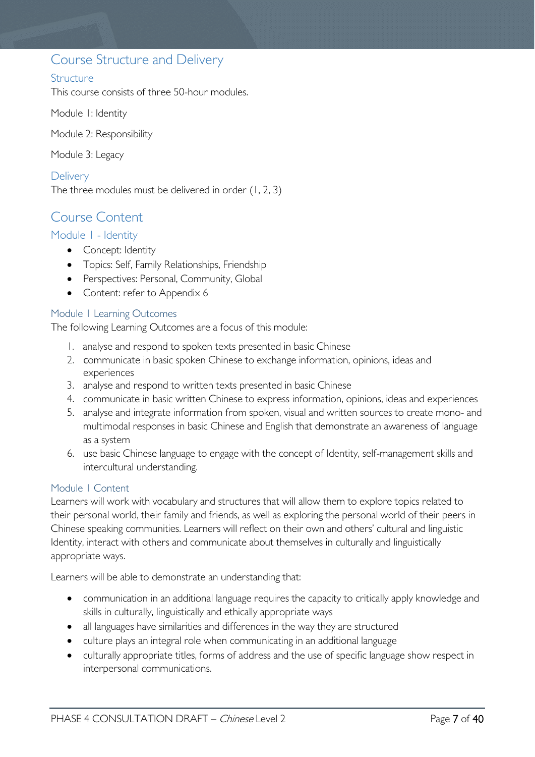## <span id="page-6-0"></span>Course Structure and Delivery

### <span id="page-6-1"></span>**Structure**

This course consists of three 50-hour modules.

Module 1: Identity

Module 2: Responsibility

Module 3: Legacy

<span id="page-6-2"></span>**Delivery** The three modules must be delivered in order (1, 2, 3)

# <span id="page-6-3"></span>Course Content

### <span id="page-6-4"></span>Module 1 - Identity

- Concept: Identity
- Topics: Self, Family Relationships, Friendship
- Perspectives: Personal, Community, Global
- Content: refer to Appendix 6

### <span id="page-6-5"></span>Module 1 Learning Outcomes

The following Learning Outcomes are a focus of this module:

- 1. analyse and respond to spoken texts presented in basic Chinese
- 2. communicate in basic spoken Chinese to exchange information, opinions, ideas and experiences
- 3. analyse and respond to written texts presented in basic Chinese
- 4. communicate in basic written Chinese to express information, opinions, ideas and experiences
- 5. analyse and integrate information from spoken, visual and written sources to create mono- and multimodal responses in basic Chinese and English that demonstrate an awareness of language as a system
- 6. use basic Chinese language to engage with the concept of Identity, self-management skills and intercultural understanding.

### <span id="page-6-6"></span>Module 1 Content

Learners will work with vocabulary and structures that will allow them to explore topics related to their personal world, their family and friends, as well as exploring the personal world of their peers in Chinese speaking communities. Learners will reflect on their own and others' cultural and linguistic Identity, interact with others and communicate about themselves in culturally and linguistically appropriate ways.

Learners will be able to demonstrate an understanding that:

- communication in an additional language requires the capacity to critically apply knowledge and skills in culturally, linguistically and ethically appropriate ways
- all languages have similarities and differences in the way they are structured
- culture plays an integral role when communicating in an additional language
- culturally appropriate titles, forms of address and the use of specific language show respect in interpersonal communications.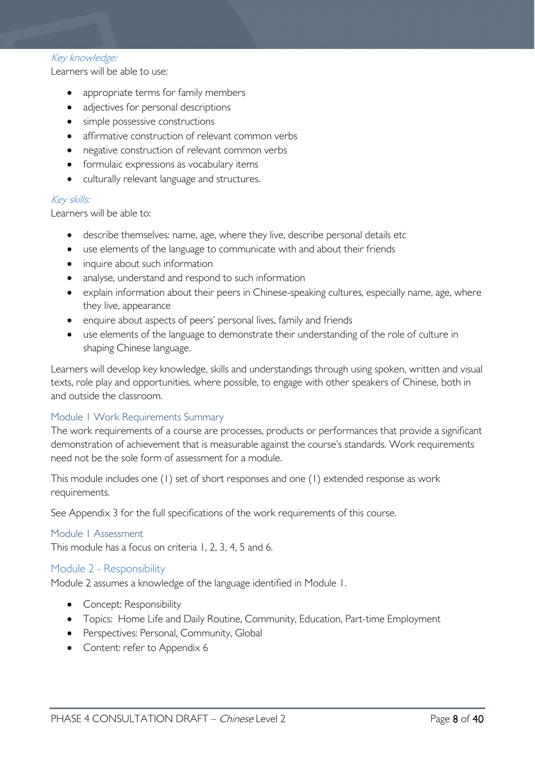### Key knowledge:

Learners will be able to use:

- appropriate terms for family members
- adjectives for personal descriptions
- simple possessive constructions
- affirmative construction of relevant common verbs
- negative construction of relevant common verbs
- formulaic expressions as vocabulary items
- culturally relevant language and structures.

### Key skills:

Learners will be able to:

- describe themselves: name, age, where they live, describe personal details etc
- use elements of the language to communicate with and about their friends
- inquire about such information
- analyse, understand and respond to such information
- explain information about their peers in Chinese-speaking cultures, especially name, age, where they live, appearance
- enquire about aspects of peers' personal lives, family and friends
- use elements of the language to demonstrate their understanding of the role of culture in shaping Chinese language.

Learners will develop key knowledge, skills and understandings through using spoken, written and visual texts, role play and opportunities, where possible, to engage with other speakers of Chinese, both in and outside the classroom.

### <span id="page-7-0"></span>Module 1 Work Requirements Summary

The work requirements of a course are processes, products or performances that provide a significant demonstration of achievement that is measurable against the course's standards. Work requirements need not be the sole form of assessment for a module.

This module includes one (1) set of short responses and one (1) extended response as work requirements.

See Appendix 3 for the full specifications of the work requirements of this course.

#### <span id="page-7-1"></span>Module 1 Assessment

This module has a focus on criteria 1, 2, 3, 4, 5 and 6.

### <span id="page-7-2"></span>Module 2 - Responsibility

Module 2 assumes a knowledge of the language identified in Module 1.

- Concept: Responsibility
- Topics: Home Life and Daily Routine, Community, Education, Part-time Employment
- Perspectives: Personal, Community, Global
- Content: refer to Appendix 6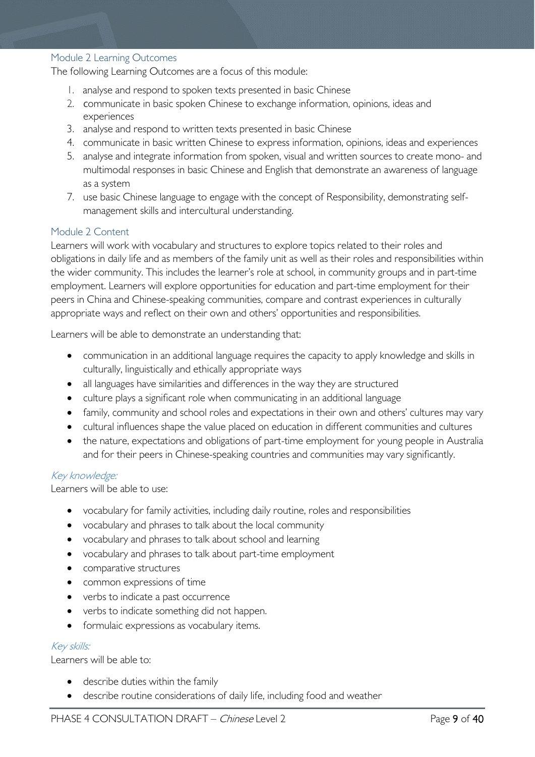#### <span id="page-8-0"></span>Module 2 Learning Outcomes

The following Learning Outcomes are a focus of this module:

- 1. analyse and respond to spoken texts presented in basic Chinese
- 2. communicate in basic spoken Chinese to exchange information, opinions, ideas and experiences
- 3. analyse and respond to written texts presented in basic Chinese
- 4. communicate in basic written Chinese to express information, opinions, ideas and experiences
- 5. analyse and integrate information from spoken, visual and written sources to create mono- and multimodal responses in basic Chinese and English that demonstrate an awareness of language as a system
- 7. use basic Chinese language to engage with the concept of Responsibility, demonstrating selfmanagement skills and intercultural understanding.

### <span id="page-8-1"></span>Module 2 Content

Learners will work with vocabulary and structures to explore topics related to their roles and obligations in daily life and as members of the family unit as well as their roles and responsibilities within the wider community. This includes the learner's role at school, in community groups and in part-time employment. Learners will explore opportunities for education and part-time employment for their peers in China and Chinese-speaking communities, compare and contrast experiences in culturally appropriate ways and reflect on their own and others' opportunities and responsibilities.

Learners will be able to demonstrate an understanding that:

- communication in an additional language requires the capacity to apply knowledge and skills in culturally, linguistically and ethically appropriate ways
- all languages have similarities and differences in the way they are structured
- culture plays a significant role when communicating in an additional language
- family, community and school roles and expectations in their own and others' cultures may vary
- cultural influences shape the value placed on education in different communities and cultures
- the nature, expectations and obligations of part-time employment for young people in Australia and for their peers in Chinese-speaking countries and communities may vary significantly.

#### Key knowledge:

Learners will be able to use:

- vocabulary for family activities, including daily routine, roles and responsibilities
- vocabulary and phrases to talk about the local community
- vocabulary and phrases to talk about school and learning
- vocabulary and phrases to talk about part-time employment
- comparative structures
- common expressions of time
- verbs to indicate a past occurrence
- verbs to indicate something did not happen.
- formulaic expressions as vocabulary items.

#### Key skills:

Learners will be able to:

- describe duties within the family
- describe routine considerations of daily life, including food and weather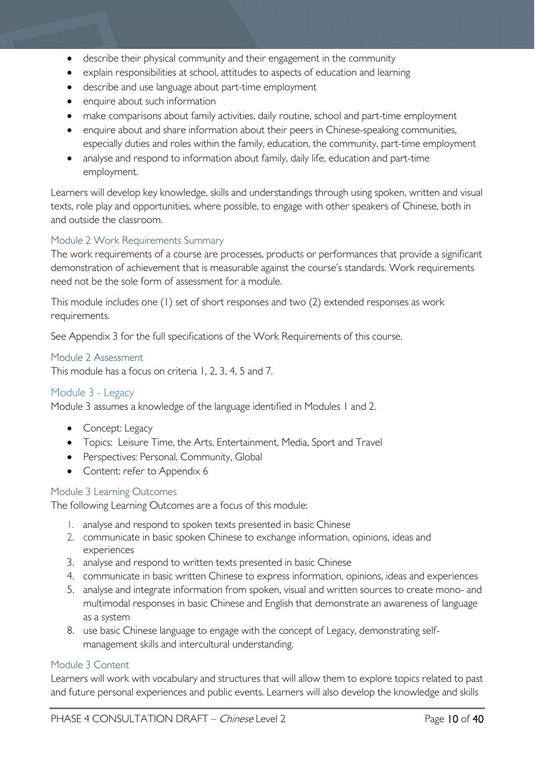- describe their physical community and their engagement in the community
- explain responsibilities at school, attitudes to aspects of education and learning
- describe and use language about part-time employment
- enquire about such information
- make comparisons about family activities, daily routine, school and part-time employment
- enquire about and share information about their peers in Chinese-speaking communities, especially duties and roles within the family, education, the community, part-time employment
- analyse and respond to information about family, daily life, education and part-time employment.

Learners will develop key knowledge, skills and understandings through using spoken, written and visual texts, role play and opportunities, where possible, to engage with other speakers of Chinese, both in and outside the classroom.

### <span id="page-9-0"></span>Module 2 Work Requirements Summary

The work requirements of a course are processes, products or performances that provide a significant demonstration of achievement that is measurable against the course's standards. Work requirements need not be the sole form of assessment for a module.

This module includes one (1) set of short responses and two (2) extended responses as work requirements.

See Appendix 3 for the full specifications of the Work Requirements of this course.

### <span id="page-9-1"></span>Module 2 Assessment

This module has a focus on criteria 1, 2, 3, 4, 5 and 7.

### <span id="page-9-2"></span>Module 3 - Legacy

Module 3 assumes a knowledge of the language identified in Modules 1 and 2.

- Concept: Legacy
- Topics: Leisure Time, the Arts, Entertainment, Media, Sport and Travel
- Perspectives: Personal, Community, Global
- Content: refer to Appendix 6

### <span id="page-9-3"></span>Module 3 Learning Outcomes

The following Learning Outcomes are a focus of this module:

- 1. analyse and respond to spoken texts presented in basic Chinese
- 2. communicate in basic spoken Chinese to exchange information, opinions, ideas and experiences
- 3. analyse and respond to written texts presented in basic Chinese
- 4. communicate in basic written Chinese to express information, opinions, ideas and experiences
- 5. analyse and integrate information from spoken, visual and written sources to create mono- and multimodal responses in basic Chinese and English that demonstrate an awareness of language as a system
- 8. use basic Chinese language to engage with the concept of Legacy, demonstrating selfmanagement skills and intercultural understanding.

### <span id="page-9-4"></span>Module 3 Content

Learners will work with vocabulary and structures that will allow them to explore topics related to past and future personal experiences and public events. Learners will also develop the knowledge and skills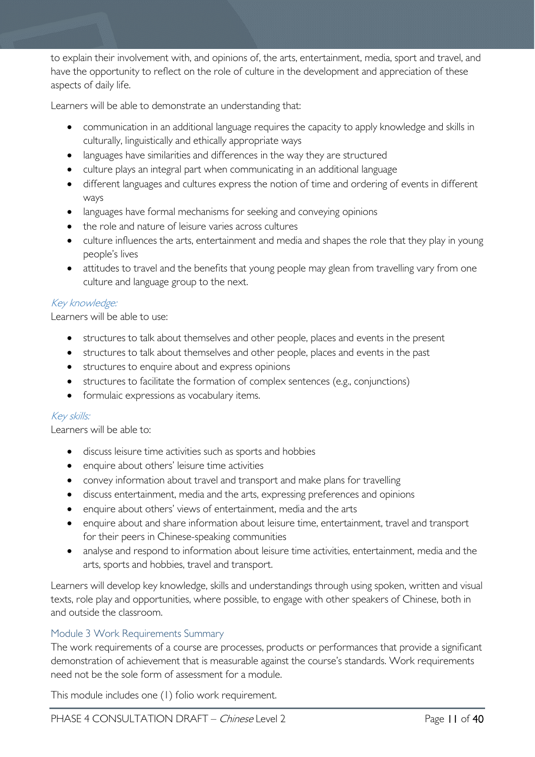to explain their involvement with, and opinions of, the arts, entertainment, media, sport and travel, and have the opportunity to reflect on the role of culture in the development and appreciation of these aspects of daily life.

Learners will be able to demonstrate an understanding that:

- communication in an additional language requires the capacity to apply knowledge and skills in culturally, linguistically and ethically appropriate ways
- languages have similarities and differences in the way they are structured
- culture plays an integral part when communicating in an additional language
- different languages and cultures express the notion of time and ordering of events in different ways
- languages have formal mechanisms for seeking and conveying opinions
- the role and nature of leisure varies across cultures
- culture influences the arts, entertainment and media and shapes the role that they play in young people's lives
- attitudes to travel and the benefits that young people may glean from travelling vary from one culture and language group to the next.

### Key knowledge:

Learners will be able to use:

- structures to talk about themselves and other people, places and events in the present
- structures to talk about themselves and other people, places and events in the past
- structures to enquire about and express opinions
- structures to facilitate the formation of complex sentences (e.g., conjunctions)
- formulaic expressions as vocabulary items.

#### Key skills:

Learners will be able to:

- discuss leisure time activities such as sports and hobbies
- enquire about others' leisure time activities
- convey information about travel and transport and make plans for travelling
- discuss entertainment, media and the arts, expressing preferences and opinions
- enquire about others' views of entertainment, media and the arts
- enquire about and share information about leisure time, entertainment, travel and transport for their peers in Chinese-speaking communities
- analyse and respond to information about leisure time activities, entertainment, media and the arts, sports and hobbies, travel and transport.

Learners will develop key knowledge, skills and understandings through using spoken, written and visual texts, role play and opportunities, where possible, to engage with other speakers of Chinese, both in and outside the classroom.

#### <span id="page-10-0"></span>Module 3 Work Requirements Summary

The work requirements of a course are processes, products or performances that provide a significant demonstration of achievement that is measurable against the course's standards. Work requirements need not be the sole form of assessment for a module.

This module includes one (1) folio work requirement.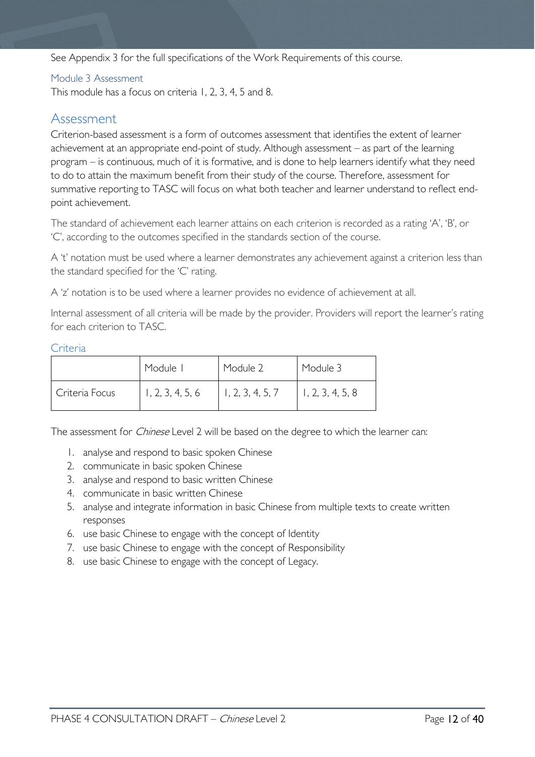See Appendix 3 for the full specifications of the Work Requirements of this course.

### <span id="page-11-0"></span>Module 3 Assessment

This module has a focus on criteria 1, 2, 3, 4, 5 and 8.

### <span id="page-11-1"></span>Assessment

Criterion-based assessment is a form of outcomes assessment that identifies the extent of learner achievement at an appropriate end-point of study. Although assessment – as part of the learning program – is continuous, much of it is formative, and is done to help learners identify what they need to do to attain the maximum benefit from their study of the course. Therefore, assessment for summative reporting to TASC will focus on what both teacher and learner understand to reflect endpoint achievement.

The standard of achievement each learner attains on each criterion is recorded as a rating 'A', 'B', or 'C', according to the outcomes specified in the standards section of the course.

A 't' notation must be used where a learner demonstrates any achievement against a criterion less than the standard specified for the 'C' rating.

A 'z' notation is to be used where a learner provides no evidence of achievement at all.

Internal assessment of all criteria will be made by the provider. Providers will report the learner's rating for each criterion to TASC.

#### <span id="page-11-2"></span>Criteria

|                | Module I         | Module 2         | Module 3         |
|----------------|------------------|------------------|------------------|
| Criteria Focus | 1, 2, 3, 4, 5, 6 | 1, 2, 3, 4, 5, 7 | 1, 2, 3, 4, 5, 8 |

The assessment for *Chinese* Level 2 will be based on the degree to which the learner can:

- 1. analyse and respond to basic spoken Chinese
- 2. communicate in basic spoken Chinese
- 3. analyse and respond to basic written Chinese
- 4. communicate in basic written Chinese
- 5. analyse and integrate information in basic Chinese from multiple texts to create written responses
- 6. use basic Chinese to engage with the concept of Identity
- 7. use basic Chinese to engage with the concept of Responsibility
- 8. use basic Chinese to engage with the concept of Legacy.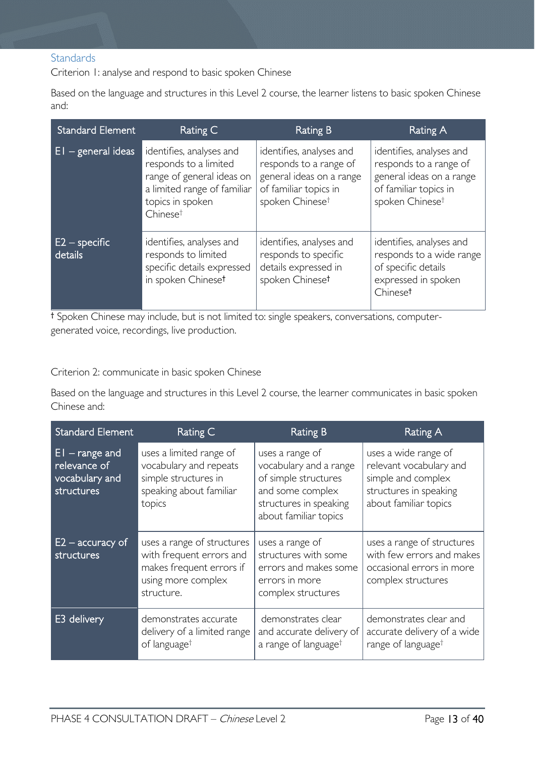### <span id="page-12-0"></span>**Standards**

Criterion 1: analyse and respond to basic spoken Chinese

Based on the language and structures in this Level 2 course, the learner listens to basic spoken Chinese and:

| <b>Standard Element</b>    | Rating C                                                                                                                                                  | Rating B                                                                                                                               | Rating A                                                                                                                               |
|----------------------------|-----------------------------------------------------------------------------------------------------------------------------------------------------------|----------------------------------------------------------------------------------------------------------------------------------------|----------------------------------------------------------------------------------------------------------------------------------------|
| $E1 -$ general ideas       | identifies, analyses and<br>responds to a limited<br>range of general ideas on<br>a limited range of familiar<br>topics in spoken<br>Chinese <sup>t</sup> | identifies, analyses and<br>responds to a range of<br>general ideas on a range<br>of familiar topics in<br>spoken Chinese <sup>t</sup> | identifies, analyses and<br>responds to a range of<br>general ideas on a range<br>of familiar topics in<br>spoken Chinese <sup>t</sup> |
| $E2$ – specific<br>details | identifies, analyses and<br>responds to limited<br>specific details expressed<br>in spoken Chineset                                                       | identifies, analyses and<br>responds to specific<br>details expressed in<br>spoken Chineset                                            | identifies, analyses and<br>responds to a wide range<br>of specific details<br>expressed in spoken<br>Chineset                         |

† Spoken Chinese may include, but is not limited to: single speakers, conversations, computergenerated voice, recordings, live production.

### Criterion 2: communicate in basic spoken Chinese

Based on the language and structures in this Level 2 course, the learner communicates in basic spoken Chinese and:

| <b>Standard Element</b>                                           | Rating C                                                                                                               | <b>Rating B</b>                                                                                                                          | <b>Rating A</b>                                                                                                          |
|-------------------------------------------------------------------|------------------------------------------------------------------------------------------------------------------------|------------------------------------------------------------------------------------------------------------------------------------------|--------------------------------------------------------------------------------------------------------------------------|
| $ E $ – range and<br>relevance of<br>vocabulary and<br>structures | uses a limited range of<br>vocabulary and repeats<br>simple structures in<br>speaking about familiar<br>topics         | uses a range of<br>vocabulary and a range<br>of simple structures<br>and some complex<br>structures in speaking<br>about familiar topics | uses a wide range of<br>relevant vocabulary and<br>simple and complex<br>structures in speaking<br>about familiar topics |
| $E2$ – accuracy of<br>structures                                  | uses a range of structures<br>with frequent errors and<br>makes frequent errors if<br>using more complex<br>structure. | uses a range of<br>structures with some<br>errors and makes some<br>errors in more<br>complex structures                                 | uses a range of structures<br>with few errors and makes<br>occasional errors in more<br>complex structures               |
| E3 delivery                                                       | demonstrates accurate<br>delivery of a limited range<br>of language <sup>†</sup>                                       | demonstrates clear<br>and accurate delivery of<br>a range of language <sup>†</sup>                                                       | demonstrates clear and<br>accurate delivery of a wide<br>range of language <sup>†</sup>                                  |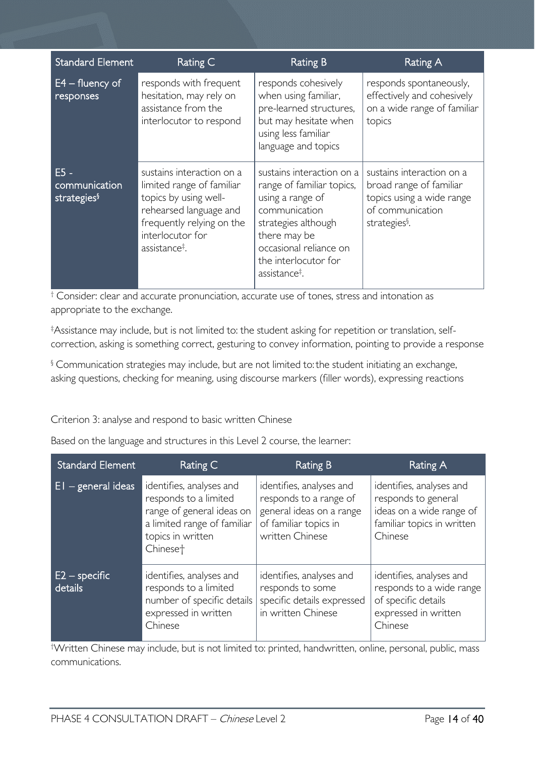| <b>Standard Element</b>                            | Rating C                                                                                                                                                                                                    | <b>Rating B</b>                                                                                                                                                                                                   | <b>Rating A</b>                                                                                                                    |
|----------------------------------------------------|-------------------------------------------------------------------------------------------------------------------------------------------------------------------------------------------------------------|-------------------------------------------------------------------------------------------------------------------------------------------------------------------------------------------------------------------|------------------------------------------------------------------------------------------------------------------------------------|
| $E4 -$ fluency of<br>responses                     | responds with frequent<br>hesitation, may rely on<br>assistance from the<br>interlocutor to respond                                                                                                         | responds cohesively<br>when using familiar,<br>pre-learned structures,<br>but may hesitate when<br>using less familiar<br>language and topics                                                                     | responds spontaneously,<br>effectively and cohesively<br>on a wide range of familiar<br>topics                                     |
| $E5 -$<br>communication<br>strategies <sup>§</sup> | sustains interaction on a<br>limited range of familiar<br>topics by using well-<br>rehearsed language and<br>frequently relying on the<br>interlocutor for<br>assistance <sup><math>\ddagger</math></sup> . | sustains interaction on a<br>range of familiar topics,<br>using a range of<br>communication<br>strategies although<br>there may be<br>occasional reliance on<br>the interlocutor for<br>assistance <sup>‡</sup> . | sustains interaction on a<br>broad range of familiar<br>topics using a wide range<br>of communication<br>strategies <sup>§</sup> . |

† Consider: clear and accurate pronunciation, accurate use of tones, stress and intonation as appropriate to the exchange.

‡ Assistance may include, but is not limited to: the student asking for repetition or translation, selfcorrection, asking is something correct, gesturing to convey information, pointing to provide a response

§ Communication strategies may include, but are not limited to:the student initiating an exchange, asking questions, checking for meaning, using discourse markers (filler words), expressing reactions

### Criterion 3: analyse and respond to basic written Chinese

Based on the language and structures in this Level 2 course, the learner:

| <b>Standard Element</b>    | Rating C                                                                                                                                                   | <b>Rating B</b>                                                                                                            | Rating A                                                                                                             |
|----------------------------|------------------------------------------------------------------------------------------------------------------------------------------------------------|----------------------------------------------------------------------------------------------------------------------------|----------------------------------------------------------------------------------------------------------------------|
| $EI - general$ ideas       | identifies, analyses and<br>responds to a limited<br>range of general ideas on<br>a limited range of familiar<br>topics in written<br>Chinese <sup>+</sup> | identifies, analyses and<br>responds to a range of<br>general ideas on a range<br>of familiar topics in<br>written Chinese | identifies, analyses and<br>responds to general<br>ideas on a wide range of<br>familiar topics in written<br>Chinese |
| $E2$ – specific<br>details | identifies, analyses and<br>responds to a limited<br>number of specific details<br>expressed in written<br>Chinese                                         | identifies, analyses and<br>responds to some<br>specific details expressed<br>in written Chinese                           | identifies, analyses and<br>responds to a wide range<br>of specific details<br>expressed in written<br>Chinese       |

† Written Chinese may include, but is not limited to: printed, handwritten, online, personal, public, mass communications.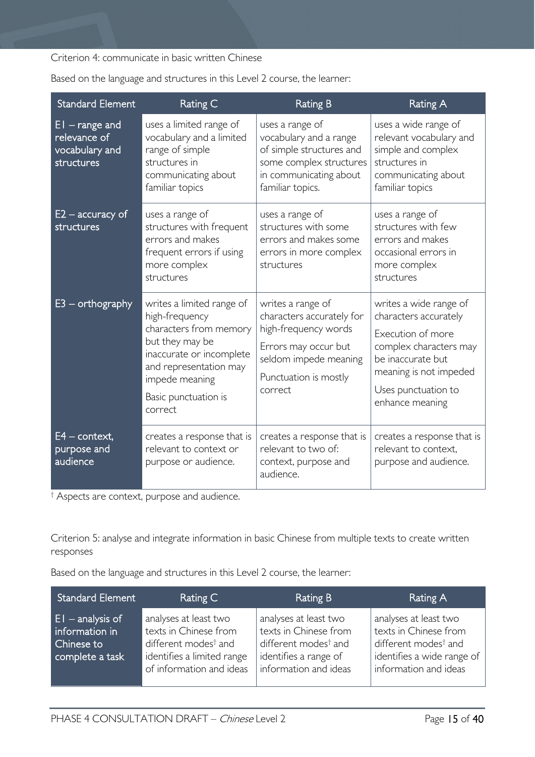Criterion 4: communicate in basic written Chinese

| <b>Standard Element</b>                                          | Rating C                                                                                                                                                                                            | <b>Rating B</b>                                                                                                                                             | <b>Rating A</b>                                                                                                                                                                         |
|------------------------------------------------------------------|-----------------------------------------------------------------------------------------------------------------------------------------------------------------------------------------------------|-------------------------------------------------------------------------------------------------------------------------------------------------------------|-----------------------------------------------------------------------------------------------------------------------------------------------------------------------------------------|
| $EI$ – range and<br>relevance of<br>vocabulary and<br>structures | uses a limited range of<br>vocabulary and a limited<br>range of simple<br>structures in<br>communicating about<br>familiar topics                                                                   | uses a range of<br>vocabulary and a range<br>of simple structures and<br>some complex structures<br>in communicating about<br>familiar topics.              | uses a wide range of<br>relevant vocabulary and<br>simple and complex<br>structures in<br>communicating about<br>familiar topics                                                        |
| $E2$ – accuracy of<br>structures                                 | uses a range of<br>structures with frequent<br>errors and makes<br>frequent errors if using<br>more complex<br>structures                                                                           | uses a range of<br>structures with some<br>errors and makes some<br>errors in more complex<br>structures                                                    | uses a range of<br>structures with few<br>errors and makes<br>occasional errors in<br>more complex<br>structures                                                                        |
| $E3$ – orthography                                               | writes a limited range of<br>high-frequency<br>characters from memory<br>but they may be<br>inaccurate or incomplete<br>and representation may<br>impede meaning<br>Basic punctuation is<br>correct | writes a range of<br>characters accurately for<br>high-frequency words<br>Errors may occur but<br>seldom impede meaning<br>Punctuation is mostly<br>correct | writes a wide range of<br>characters accurately<br>Execution of more<br>complex characters may<br>be inaccurate but<br>meaning is not impeded<br>Uses punctuation to<br>enhance meaning |
| $E4$ – context,<br>purpose and<br>audience                       | creates a response that is<br>relevant to context or<br>purpose or audience.                                                                                                                        | creates a response that is<br>relevant to two of:<br>context, purpose and<br>audience.                                                                      | creates a response that is<br>relevant to context.<br>purpose and audience.                                                                                                             |

Based on the language and structures in this Level 2 course, the learner:

† Aspects are context, purpose and audience.

Criterion 5: analyse and integrate information in basic Chinese from multiple texts to create written responses

Based on the language and structures in this Level 2 course, the learner:

| <b>Standard Element</b>                                               | Rating C                                                                                                                                     | Rating B                                                                                                                             | Rating A                                                                                                                                  |
|-----------------------------------------------------------------------|----------------------------------------------------------------------------------------------------------------------------------------------|--------------------------------------------------------------------------------------------------------------------------------------|-------------------------------------------------------------------------------------------------------------------------------------------|
| $E1$ – analysis of<br>information in<br>Chinese to<br>complete a task | analyses at least two<br>texts in Chinese from<br>different modes <sup>†</sup> and<br>identifies a limited range<br>of information and ideas | analyses at least two<br>texts in Chinese from<br>different modes <sup>†</sup> and<br>identifies a range of<br>information and ideas | analyses at least two<br>texts in Chinese from<br>different modes <sup>†</sup> and<br>identifies a wide range of<br>information and ideas |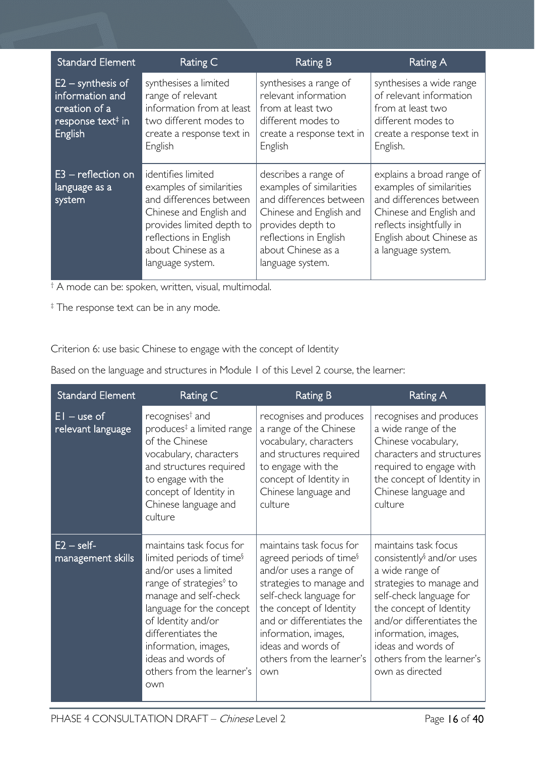| <b>Standard Element</b>                                                                                    | Rating C                                                                                                                                                                                              | <b>Rating B</b>                                                                                                                                                                                 | <b>Rating A</b>                                                                                                                                                                           |
|------------------------------------------------------------------------------------------------------------|-------------------------------------------------------------------------------------------------------------------------------------------------------------------------------------------------------|-------------------------------------------------------------------------------------------------------------------------------------------------------------------------------------------------|-------------------------------------------------------------------------------------------------------------------------------------------------------------------------------------------|
| $E2 -$ synthesis of<br>information and<br>creation of a<br>response text <sup>#</sup> in<br><b>English</b> | synthesises a limited<br>range of relevant<br>information from at least<br>two different modes to<br>create a response text in<br>English                                                             | synthesises a range of<br>relevant information<br>from at least two<br>different modes to<br>create a response text in<br>English                                                               | synthesises a wide range<br>of relevant information<br>from at least two<br>different modes to<br>create a response text in<br>English.                                                   |
| $E3$ – reflection on<br>language as a<br>system                                                            | identifies limited<br>examples of similarities<br>and differences between<br>Chinese and English and<br>provides limited depth to<br>reflections in English<br>about Chinese as a<br>language system. | describes a range of<br>examples of similarities<br>and differences between<br>Chinese and English and<br>provides depth to<br>reflections in English<br>about Chinese as a<br>language system. | explains a broad range of<br>examples of similarities<br>and differences between<br>Chinese and English and<br>reflects insightfully in<br>English about Chinese as<br>a language system. |

† A mode can be: spoken, written, visual, multimodal.

‡ The response text can be in any mode.

Criterion 6: use basic Chinese to engage with the concept of Identity

Based on the language and structures in Module 1 of this Level 2 course, the learner:

| <b>Standard Element</b>            | Rating C                                                                                                                                                                                                                                                                                                            | <b>Rating B</b>                                                                                                                                                                                                                                                                            | Rating A                                                                                                                                                                                                                                                                                      |
|------------------------------------|---------------------------------------------------------------------------------------------------------------------------------------------------------------------------------------------------------------------------------------------------------------------------------------------------------------------|--------------------------------------------------------------------------------------------------------------------------------------------------------------------------------------------------------------------------------------------------------------------------------------------|-----------------------------------------------------------------------------------------------------------------------------------------------------------------------------------------------------------------------------------------------------------------------------------------------|
| $EI$ – use of<br>relevant language | recognises <sup>†</sup> and<br>produces <sup>‡</sup> a limited range<br>of the Chinese<br>vocabulary, characters<br>and structures required<br>to engage with the<br>concept of Identity in<br>Chinese language and<br>culture                                                                                      | recognises and produces<br>a range of the Chinese<br>vocabulary, characters<br>and structures required<br>to engage with the<br>concept of Identity in<br>Chinese language and<br>culture                                                                                                  | recognises and produces<br>a wide range of the<br>Chinese vocabulary,<br>characters and structures<br>required to engage with<br>the concept of Identity in<br>Chinese language and<br>culture                                                                                                |
| $E2 - self$<br>management skills   | maintains task focus for<br>limited periods of time <sup>§</sup><br>and/or uses a limited<br>range of strategies <sup>®</sup> to<br>manage and self-check<br>language for the concept<br>of Identity and/or<br>differentiates the<br>information, images,<br>ideas and words of<br>others from the learner's<br>own | maintains task focus for<br>agreed periods of time <sup>§</sup><br>and/or uses a range of<br>strategies to manage and<br>self-check language for<br>the concept of Identity<br>and or differentiates the<br>information, images,<br>ideas and words of<br>others from the learner's<br>own | maintains task focus<br>consistently <sup>§</sup> and/or uses<br>a wide range of<br>strategies to manage and<br>self-check language for<br>the concept of Identity<br>and/or differentiates the<br>information, images,<br>ideas and words of<br>others from the learner's<br>own as directed |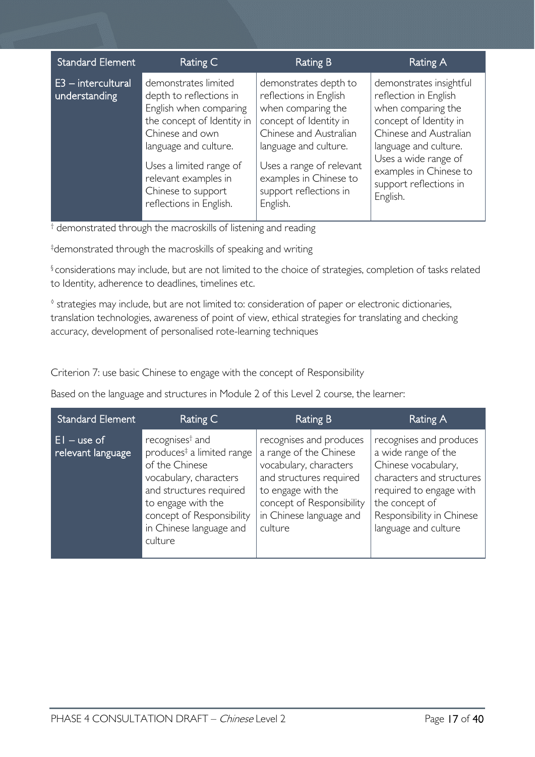|                                                                                                                                                                                                                                                                                                                                                                                                                                                                                                                                                                                                                                                                                                                    | <b>Standard Element</b> | Rating C | <b>Rating B</b> | Rating A                                                                    |
|--------------------------------------------------------------------------------------------------------------------------------------------------------------------------------------------------------------------------------------------------------------------------------------------------------------------------------------------------------------------------------------------------------------------------------------------------------------------------------------------------------------------------------------------------------------------------------------------------------------------------------------------------------------------------------------------------------------------|-------------------------|----------|-----------------|-----------------------------------------------------------------------------|
| $E3$ – intercultural<br>demonstrates limited<br>demonstrates depth to<br>reflections in English<br>reflection in English<br>understanding<br>depth to reflections in<br>when comparing the<br>when comparing the<br>English when comparing<br>the concept of Identity in<br>concept of Identity in<br>concept of Identity in<br>Chinese and Australian<br>Chinese and own<br>language and culture.<br>language and culture.<br>language and culture.<br>Uses a wide range of<br>Uses a limited range of<br>Uses a range of relevant<br>examples in Chinese to<br>relevant examples in<br>support reflections in<br>support reflections in<br>Chinese to support<br>English.<br>reflections in English.<br>English. |                         |          |                 | demonstrates insightful<br>Chinese and Australian<br>examples in Chinese to |

† demonstrated through the macroskills of listening and reading

‡ demonstrated through the macroskills of speaking and writing

§ considerations may include, but are not limited to the choice of strategies, completion of tasks related to Identity, adherence to deadlines, timelines etc.

◊ strategies may include, but are not limited to: consideration of paper or electronic dictionaries, translation technologies, awareness of point of view, ethical strategies for translating and checking accuracy, development of personalised rote-learning techniques

Criterion 7: use basic Chinese to engage with the concept of Responsibility

Based on the language and structures in Module 2 of this Level 2 course, the learner:

| <b>Standard Element</b>            | Rating C                                                                                                                                                                                                                             | Rating B                                                                                                                                                                                        | Rating A                                                                                                                                                                                             |
|------------------------------------|--------------------------------------------------------------------------------------------------------------------------------------------------------------------------------------------------------------------------------------|-------------------------------------------------------------------------------------------------------------------------------------------------------------------------------------------------|------------------------------------------------------------------------------------------------------------------------------------------------------------------------------------------------------|
| $EI - use of$<br>relevant language | recognises <sup>†</sup> and<br>produces <sup>‡</sup> a limited range<br>of the Chinese<br>vocabulary, characters<br>and structures required<br>to engage with the<br>concept of Responsibility<br>in Chinese language and<br>culture | recognises and produces<br>a range of the Chinese<br>vocabulary, characters<br>and structures required<br>to engage with the<br>concept of Responsibility<br>in Chinese language and<br>culture | recognises and produces<br>a wide range of the<br>Chinese vocabulary,<br>characters and structures<br>required to engage with<br>the concept of<br>Responsibility in Chinese<br>language and culture |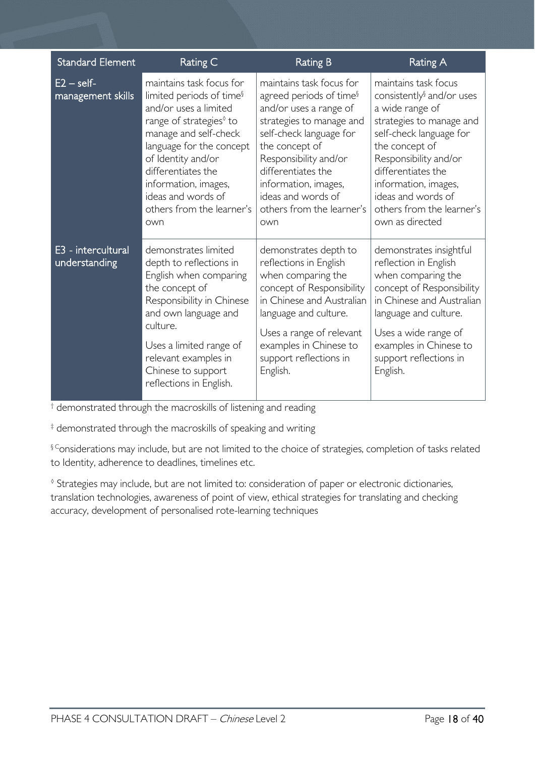| <b>Standard Element</b>             | <b>Rating C</b>                                                                                                                                                                                                                                                                                                     | <b>Rating B</b>                                                                                                                                                                                                                                                                                     | <b>Rating A</b>                                                                                                                                                                                                                                                                                        |
|-------------------------------------|---------------------------------------------------------------------------------------------------------------------------------------------------------------------------------------------------------------------------------------------------------------------------------------------------------------------|-----------------------------------------------------------------------------------------------------------------------------------------------------------------------------------------------------------------------------------------------------------------------------------------------------|--------------------------------------------------------------------------------------------------------------------------------------------------------------------------------------------------------------------------------------------------------------------------------------------------------|
| $E2 - self$<br>management skills    | maintains task focus for<br>limited periods of time <sup>§</sup><br>and/or uses a limited<br>range of strategies <sup>®</sup> to<br>manage and self-check<br>language for the concept<br>of Identity and/or<br>differentiates the<br>information, images,<br>ideas and words of<br>others from the learner's<br>own | maintains task focus for<br>agreed periods of time <sup>§</sup><br>and/or uses a range of<br>strategies to manage and<br>self-check language for<br>the concept of<br>Responsibility and/or<br>differentiates the<br>information, images,<br>ideas and words of<br>others from the learner's<br>own | maintains task focus<br>consistently <sup>§</sup> and/or uses<br>a wide range of<br>strategies to manage and<br>self-check language for<br>the concept of<br>Responsibility and/or<br>differentiates the<br>information, images,<br>ideas and words of<br>others from the learner's<br>own as directed |
| E3 - intercultural<br>understanding | demonstrates limited<br>depth to reflections in<br>English when comparing<br>the concept of<br>Responsibility in Chinese<br>and own language and<br>culture.<br>Uses a limited range of<br>relevant examples in<br>Chinese to support<br>reflections in English.                                                    | demonstrates depth to<br>reflections in English<br>when comparing the<br>concept of Responsibility<br>in Chinese and Australian<br>language and culture.<br>Uses a range of relevant<br>examples in Chinese to<br>support reflections in<br>English.                                                | demonstrates insightful<br>reflection in English<br>when comparing the<br>concept of Responsibility<br>in Chinese and Australian<br>language and culture.<br>Uses a wide range of<br>examples in Chinese to<br>support reflections in<br>English.                                                      |

† demonstrated through the macroskills of listening and reading

‡ demonstrated through the macroskills of speaking and writing

§ Considerations may include, but are not limited to the choice of strategies, completion of tasks related to Identity, adherence to deadlines, timelines etc.

◊ Strategies may include, but are not limited to: consideration of paper or electronic dictionaries, translation technologies, awareness of point of view, ethical strategies for translating and checking accuracy, development of personalised rote-learning techniques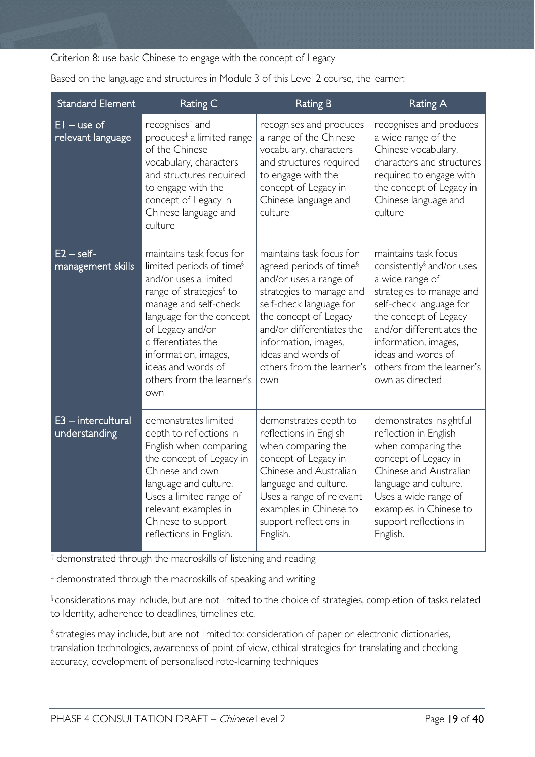Criterion 8: use basic Chinese to engage with the concept of Legacy

Based on the language and structures in Module 3 of this Level 2 course, the learner:

| <b>Standard Element</b>               | Rating C                                                                                                                                                                                                                                                                                                          | <b>Rating B</b>                                                                                                                                                                                                                                                                          | <b>Rating A</b>                                                                                                                                                                                                                                                                             |
|---------------------------------------|-------------------------------------------------------------------------------------------------------------------------------------------------------------------------------------------------------------------------------------------------------------------------------------------------------------------|------------------------------------------------------------------------------------------------------------------------------------------------------------------------------------------------------------------------------------------------------------------------------------------|---------------------------------------------------------------------------------------------------------------------------------------------------------------------------------------------------------------------------------------------------------------------------------------------|
| $EI - use of$<br>relevant language    | recognises <sup>†</sup> and<br>produces <sup>‡</sup> a limited range<br>of the Chinese<br>vocabulary, characters<br>and structures required<br>to engage with the<br>concept of Legacy in<br>Chinese language and<br>culture                                                                                      | recognises and produces<br>a range of the Chinese<br>vocabulary, characters<br>and structures required<br>to engage with the<br>concept of Legacy in<br>Chinese language and<br>culture                                                                                                  | recognises and produces<br>a wide range of the<br>Chinese vocabulary,<br>characters and structures<br>required to engage with<br>the concept of Legacy in<br>Chinese language and<br>culture                                                                                                |
| $E2 - self$<br>management skills      | maintains task focus for<br>limited periods of time <sup>§</sup><br>and/or uses a limited<br>range of strategies <sup>®</sup> to<br>manage and self-check<br>language for the concept<br>of Legacy and/or<br>differentiates the<br>information, images,<br>ideas and words of<br>others from the learner's<br>own | maintains task focus for<br>agreed periods of time <sup>§</sup><br>and/or uses a range of<br>strategies to manage and<br>self-check language for<br>the concept of Legacy<br>and/or differentiates the<br>information, images,<br>ideas and words of<br>others from the learner's<br>own | maintains task focus<br>consistently <sup>§</sup> and/or uses<br>a wide range of<br>strategies to manage and<br>self-check language for<br>the concept of Legacy<br>and/or differentiates the<br>information, images,<br>ideas and words of<br>others from the learner's<br>own as directed |
| $E3$ - intercultural<br>understanding | demonstrates limited<br>depth to reflections in<br>English when comparing<br>the concept of Legacy in<br>Chinese and own<br>language and culture.<br>Uses a limited range of<br>relevant examples in<br>Chinese to support<br>reflections in English.                                                             | demonstrates depth to<br>reflections in English<br>when comparing the<br>concept of Legacy in<br>Chinese and Australian<br>language and culture.<br>Uses a range of relevant<br>examples in Chinese to<br>support reflections in<br>English.                                             | demonstrates insightful<br>reflection in English<br>when comparing the<br>concept of Legacy in<br>Chinese and Australian<br>language and culture.<br>Uses a wide range of<br>examples in Chinese to<br>support reflections in<br>English.                                                   |

† demonstrated through the macroskills of listening and reading

‡ demonstrated through the macroskills of speaking and writing

§ considerations may include, but are not limited to the choice of strategies, completion of tasks related to Identity, adherence to deadlines, timelines etc.

◊ strategies may include, but are not limited to: consideration of paper or electronic dictionaries, translation technologies, awareness of point of view, ethical strategies for translating and checking accuracy, development of personalised rote-learning techniques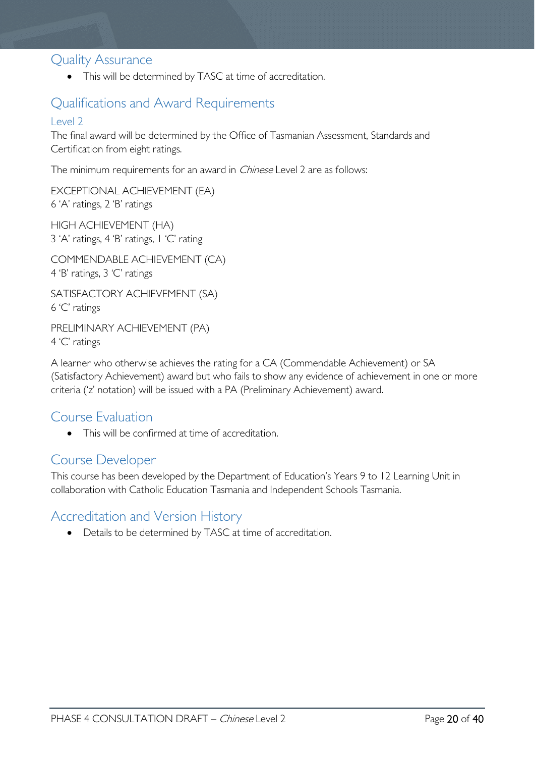### <span id="page-19-0"></span>Quality Assurance

• This will be determined by TASC at time of accreditation.

# <span id="page-19-1"></span>Qualifications and Award Requirements

### <span id="page-19-2"></span>Level 2

The final award will be determined by the Office of Tasmanian Assessment, Standards and Certification from eight ratings.

The minimum requirements for an award in *Chinese* Level 2 are as follows:

EXCEPTIONAL ACHIEVEMENT (EA) 6 'A' ratings, 2 'B' ratings

HIGH ACHIEVEMENT (HA) 3 'A' ratings, 4 'B' ratings, 1 'C' rating

COMMENDABLE ACHIEVEMENT (CA) 4 'B' ratings, 3 'C' ratings

SATISFACTORY ACHIEVEMENT (SA) 6 'C' ratings

PRELIMINARY ACHIEVEMENT (PA) 4 'C' ratings

A learner who otherwise achieves the rating for a CA (Commendable Achievement) or SA (Satisfactory Achievement) award but who fails to show any evidence of achievement in one or more criteria ('z' notation) will be issued with a PA (Preliminary Achievement) award.

### <span id="page-19-3"></span>Course Evaluation

• This will be confirmed at time of accreditation.

### <span id="page-19-4"></span>Course Developer

This course has been developed by the Department of Education's Years 9 to 12 Learning Unit in collaboration with Catholic Education Tasmania and Independent Schools Tasmania.

# <span id="page-19-5"></span>Accreditation and Version History

• Details to be determined by TASC at time of accreditation.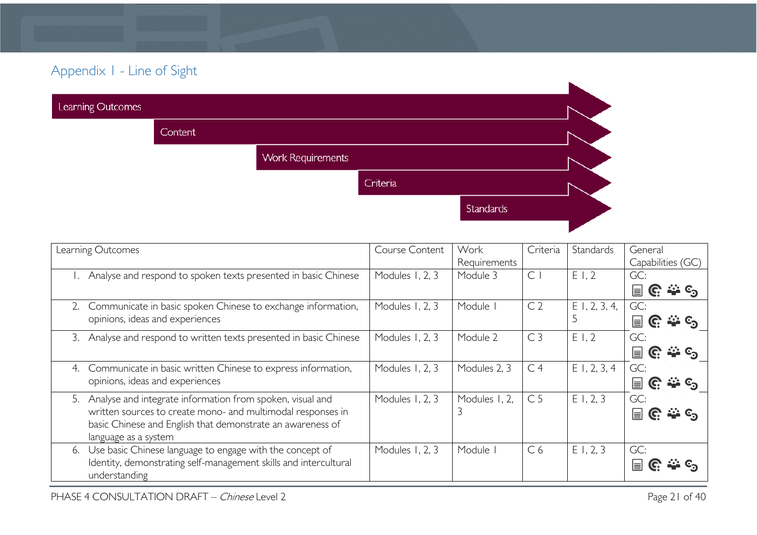# Appendix 1 - Line of Sight

| Learning Outcomes |         |                          |          |           |  |
|-------------------|---------|--------------------------|----------|-----------|--|
|                   | Content |                          |          |           |  |
|                   |         | <b>Work Requirements</b> |          |           |  |
|                   |         |                          | Criteria |           |  |
|                   |         |                          |          | Standards |  |
|                   |         |                          |          |           |  |

<span id="page-20-0"></span>

|    | Learning Outcomes                                                | Course Content  | Work          | Criteria       | Standards       | General                                    |
|----|------------------------------------------------------------------|-----------------|---------------|----------------|-----------------|--------------------------------------------|
|    |                                                                  |                 | Requirements  |                |                 | Capabilities (GC)                          |
|    | Analyse and respond to spoken texts presented in basic Chinese   | Modules 1, 2, 3 | Module 3      | $\mathsf{C}$   | E1,2            | GC:                                        |
|    |                                                                  |                 |               |                |                 | $\cdots c_n$<br>冒<br>C.                    |
|    | Communicate in basic spoken Chinese to exchange information,     | Modules 1, 2, 3 | Module        | C <sub>2</sub> | $E$ 1, 2, 3, 4, | GC:                                        |
|    | opinions, ideas and experiences                                  |                 |               |                |                 | $\rightarrow$ $\epsilon$<br>$\equiv$<br>G. |
| 3. | Analyse and respond to written texts presented in basic Chinese  | Modules 1, 2, 3 | Module 2      | C <sub>3</sub> | E1,2            | GC:                                        |
|    |                                                                  |                 |               |                |                 | $\equiv$<br>G.                             |
| 4. | Communicate in basic written Chinese to express information,     | Modules 1, 2, 3 | Modules 2, 3  | C <sub>4</sub> | $E$ 1, 2, 3, 4  | GC:                                        |
|    | opinions, ideas and experiences                                  |                 |               |                |                 | $\equiv$<br>.್ಲಿ ∈ <sub>ಾ</sub><br>G.      |
| 5. | Analyse and integrate information from spoken, visual and        | Modules 1, 2, 3 | Modules I, 2, | C <sub>5</sub> | E1, 2, 3        | GC:                                        |
|    | written sources to create mono- and multimodal responses in      |                 | 3             |                |                 | $\equiv$                                   |
|    | basic Chinese and English that demonstrate an awareness of       |                 |               |                |                 |                                            |
|    | language as a system                                             |                 |               |                |                 |                                            |
| 6. | Use basic Chinese language to engage with the concept of         | Modules 1, 2, 3 | Module        | C <sub>6</sub> | E1, 2, 3        | GC:                                        |
|    | Identity, demonstrating self-management skills and intercultural |                 |               |                |                 | ⊫                                          |
|    | understanding                                                    |                 |               |                |                 |                                            |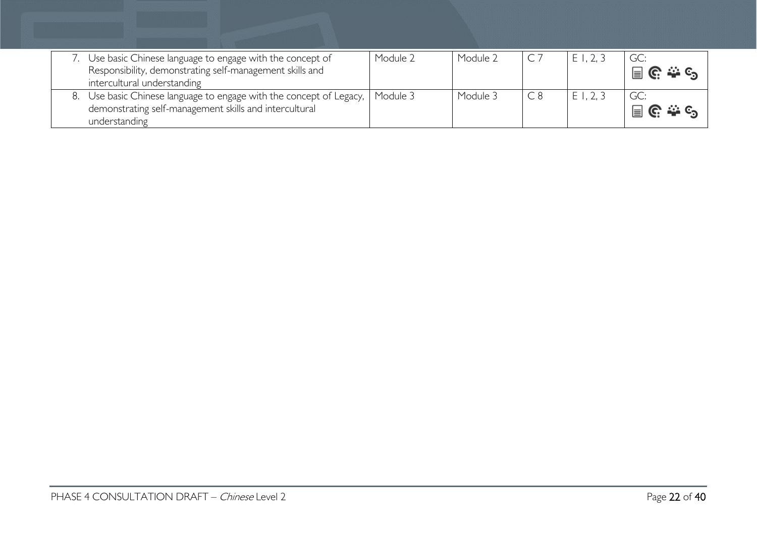| Use basic Chinese language to engage with the concept of<br>Responsibility, demonstrating self-management skills and<br>intercultural understanding       | Module 2 | Module 2 | E1, 2, 3 | GC:                                      |
|-----------------------------------------------------------------------------------------------------------------------------------------------------------|----------|----------|----------|------------------------------------------|
| 8. Use basic Chinese language to engage with the concept of Legacy,   Module 3<br>demonstrating self-management skills and intercultural<br>understanding |          | Module 3 | E1, 2, 3 | $\Box$ $\mathbb{C}$ $\cong$ $\mathbb{C}$ |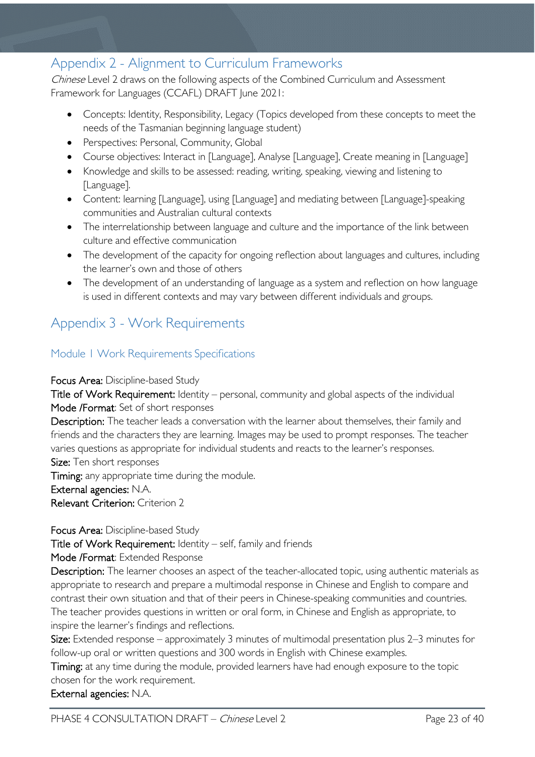# <span id="page-22-0"></span>Appendix 2 - Alignment to Curriculum Frameworks

Chinese Level 2 draws on the following aspects of the Combined Curriculum and Assessment Framework for Languages (CCAFL) DRAFT June 2021:

- Concepts: Identity, Responsibility, Legacy (Topics developed from these concepts to meet the needs of the Tasmanian beginning language student)
- Perspectives: Personal, Community, Global
- Course objectives: Interact in [Language], Analyse [Language], Create meaning in [Language]
- Knowledge and skills to be assessed: reading, writing, speaking, viewing and listening to [Language].
- Content: learning [Language], using [Language] and mediating between [Language]-speaking communities and Australian cultural contexts
- The interrelationship between language and culture and the importance of the link between culture and effective communication
- The development of the capacity for ongoing reflection about languages and cultures, including the learner's own and those of others
- The development of an understanding of language as a system and reflection on how language is used in different contexts and may vary between different individuals and groups.

# <span id="page-22-1"></span>Appendix 3 - Work Requirements

### <span id="page-22-2"></span>Module 1 Work Requirements Specifications

### Focus Area: Discipline-based Study

Title of Work Requirement: Identity – personal, community and global aspects of the individual Mode /Format: Set of short responses

Description: The teacher leads a conversation with the learner about themselves, their family and friends and the characters they are learning. Images may be used to prompt responses. The teacher varies questions as appropriate for individual students and reacts to the learner's responses. Size: Ten short responses

Timing: any appropriate time during the module.

External agencies: N.A.

Relevant Criterion: Criterion 2

Focus Area: Discipline-based Study

Title of Work Requirement: Identity – self, family and friends

Mode /Format: Extended Response

Description: The learner chooses an aspect of the teacher-allocated topic, using authentic materials as appropriate to research and prepare a multimodal response in Chinese and English to compare and contrast their own situation and that of their peers in Chinese-speaking communities and countries. The teacher provides questions in written or oral form, in Chinese and English as appropriate, to inspire the learner's findings and reflections.

Size: Extended response – approximately 3 minutes of multimodal presentation plus 2–3 minutes for follow-up oral or written questions and 300 words in English with Chinese examples.

Timing: at any time during the module, provided learners have had enough exposure to the topic chosen for the work requirement.

External agencies: N.A.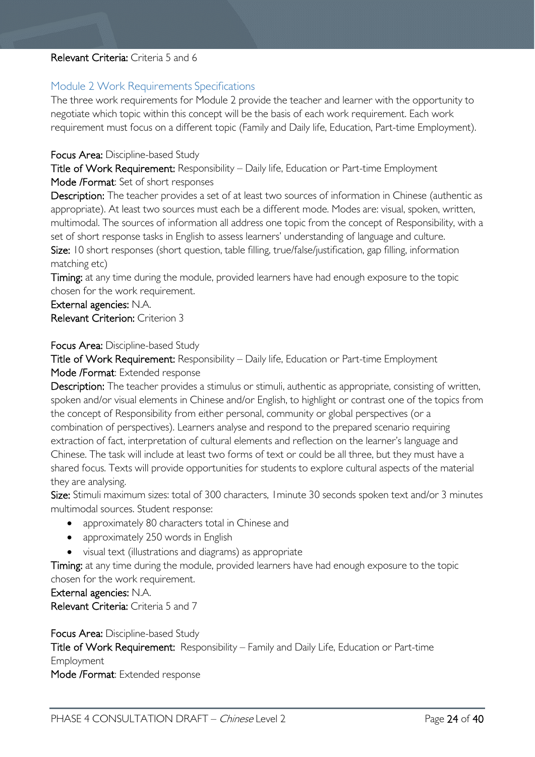### Relevant Criteria: Criteria 5 and 6

### <span id="page-23-0"></span>Module 2 Work Requirements Specifications

The three work requirements for Module 2 provide the teacher and learner with the opportunity to negotiate which topic within this concept will be the basis of each work requirement. Each work requirement must focus on a different topic (Family and Daily life, Education, Part-time Employment).

### Focus Area: Discipline-based Study

Title of Work Requirement: Responsibility – Daily life, Education or Part-time Employment Mode /Format: Set of short responses

Description: The teacher provides a set of at least two sources of information in Chinese (authentic as appropriate). At least two sources must each be a different mode. Modes are: visual, spoken, written, multimodal. The sources of information all address one topic from the concept of Responsibility, with a set of short response tasks in English to assess learners' understanding of language and culture. Size: 10 short responses (short question, table filling, true/false/justification, gap filling, information matching etc)

Timing: at any time during the module, provided learners have had enough exposure to the topic chosen for the work requirement.

External agencies: N.A. Relevant Criterion: Criterion 3

### Focus Area: Discipline-based Study

Title of Work Requirement: Responsibility – Daily life, Education or Part-time Employment Mode /Format: Extended response

Description: The teacher provides a stimulus or stimuli, authentic as appropriate, consisting of written, spoken and/or visual elements in Chinese and/or English, to highlight or contrast one of the topics from the concept of Responsibility from either personal, community or global perspectives (or a combination of perspectives). Learners analyse and respond to the prepared scenario requiring extraction of fact, interpretation of cultural elements and reflection on the learner's language and Chinese. The task will include at least two forms of text or could be all three, but they must have a shared focus. Texts will provide opportunities for students to explore cultural aspects of the material they are analysing.

Size: Stimuli maximum sizes: total of 300 characters, I minute 30 seconds spoken text and/or 3 minutes multimodal sources. Student response:

- approximately 80 characters total in Chinese and
- approximately 250 words in English
- visual text (illustrations and diagrams) as appropriate

Timing: at any time during the module, provided learners have had enough exposure to the topic chosen for the work requirement.

#### External agencies: N.A.

Relevant Criteria: Criteria 5 and 7

### Focus Area: Discipline-based Study

Title of Work Requirement: Responsibility – Family and Daily Life, Education or Part-time Employment

Mode /Format: Extended response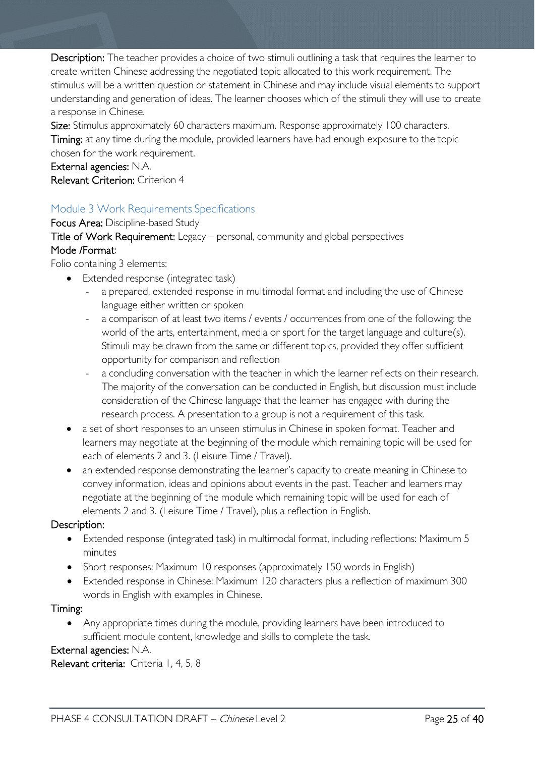Description: The teacher provides a choice of two stimuli outlining a task that requires the learner to create written Chinese addressing the negotiated topic allocated to this work requirement. The stimulus will be a written question or statement in Chinese and may include visual elements to support understanding and generation of ideas. The learner chooses which of the stimuli they will use to create a response in Chinese.

Size: Stimulus approximately 60 characters maximum. Response approximately 100 characters. Timing: at any time during the module, provided learners have had enough exposure to the topic chosen for the work requirement.

External agencies: N.A. Relevant Criterion: Criterion 4

### <span id="page-24-0"></span>Module 3 Work Requirements Specifications

Focus Area: Discipline-based Study Title of Work Requirement: Legacy – personal, community and global perspectives Mode /Format:

Folio containing 3 elements:

- Extended response (integrated task)
	- a prepared, extended response in multimodal format and including the use of Chinese language either written or spoken
	- a comparison of at least two items / events / occurrences from one of the following: the world of the arts, entertainment, media or sport for the target language and culture(s). Stimuli may be drawn from the same or different topics, provided they offer sufficient opportunity for comparison and reflection
	- a concluding conversation with the teacher in which the learner reflects on their research. The majority of the conversation can be conducted in English, but discussion must include consideration of the Chinese language that the learner has engaged with during the research process. A presentation to a group is not a requirement of this task.
- a set of short responses to an unseen stimulus in Chinese in spoken format. Teacher and learners may negotiate at the beginning of the module which remaining topic will be used for each of elements 2 and 3. (Leisure Time / Travel).
- an extended response demonstrating the learner's capacity to create meaning in Chinese to convey information, ideas and opinions about events in the past. Teacher and learners may negotiate at the beginning of the module which remaining topic will be used for each of elements 2 and 3. (Leisure Time / Travel), plus a reflection in English.

### Description:

- Extended response (integrated task) in multimodal format, including reflections: Maximum 5 minutes
- Short responses: Maximum 10 responses (approximately 150 words in English)
- Extended response in Chinese: Maximum 120 characters plus a reflection of maximum 300 words in English with examples in Chinese.

### Timing:

• Any appropriate times during the module, providing learners have been introduced to sufficient module content, knowledge and skills to complete the task.

### External agencies: N.A.

Relevant criteria: Criteria I, 4, 5, 8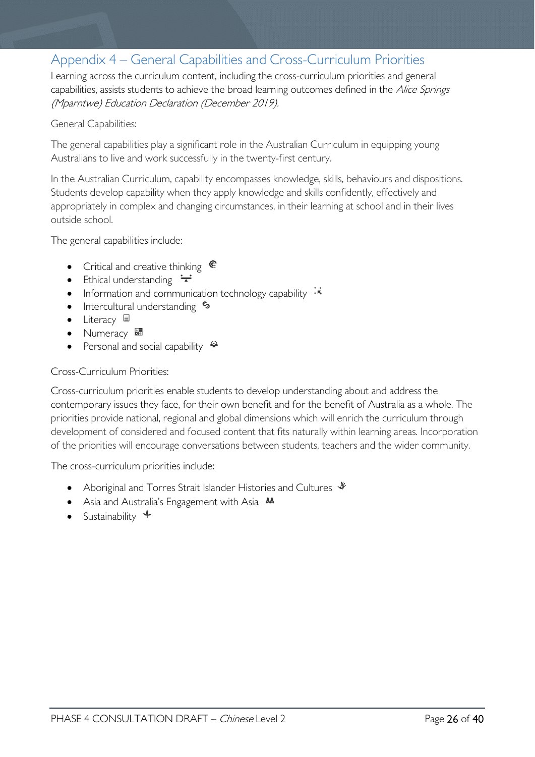# <span id="page-25-0"></span>Appendix 4 – General Capabilities and Cross-Curriculum Priorities

Learning across the curriculum content, including the cross-curriculum priorities and general capabilities, assists students to achieve the broad learning outcomes defined in the Alice Springs (Mparntwe) Education Declaration (December 2019).

### General Capabilities:

The general capabilities play a significant role in the Australian Curriculum in equipping young Australians to live and work successfully in the twenty-first century.

In the Australian Curriculum, capability encompasses knowledge, skills, behaviours and dispositions. Students develop capability when they apply knowledge and skills confidently, effectively and appropriately in complex and changing circumstances, in their learning at school and in their lives outside school.

The general capabilities include:

- Critical and creative thinking  $\mathbb{C}$
- Ethical understanding  $\div$
- Information and communication technology capability  $\cdot \star$
- Intercultural understanding •
- Literacy  $\blacksquare$
- Numeracy
- Personal and social capability  $\ddot{\ddot{\bullet}}$

### Cross-Curriculum Priorities:

Cross-curriculum priorities enable students to develop understanding about and address the contemporary issues they face, for their own benefit and for the benefit of Australia as a whole. The priorities provide national, regional and global dimensions which will enrich the curriculum through development of considered and focused content that fits naturally within learning areas. Incorporation of the priorities will encourage conversations between students, teachers and the wider community.

The cross-curriculum priorities include:

- Aboriginal and Torres Strait Islander Histories and Cultures  $\mathcal$
- Asia and Australia's Engagement with Asia **AA**
- Sustainability  $\triangleleft$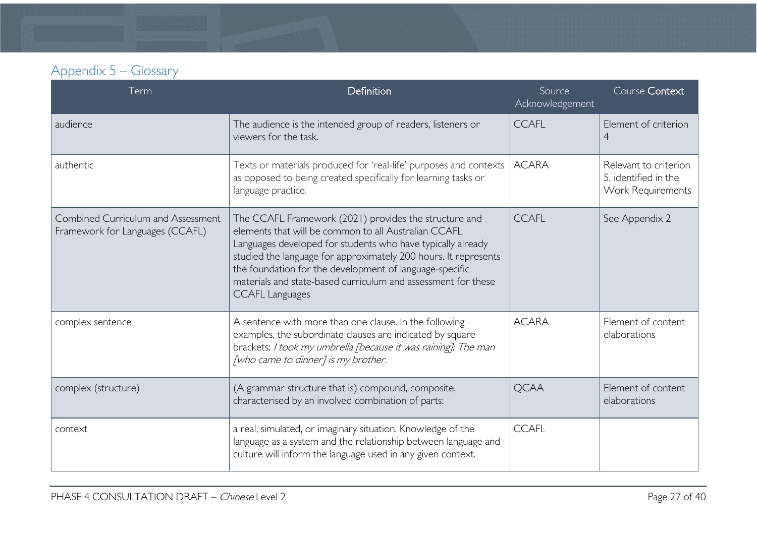| Appendix 5 – Glossary |  |
|-----------------------|--|
|-----------------------|--|

<span id="page-26-0"></span>

| Term                                                                         | Definition                                                                                                                                                                                                                                                                                                                                                                                            | Source<br>Acknowledgement | Course Context                                                     |
|------------------------------------------------------------------------------|-------------------------------------------------------------------------------------------------------------------------------------------------------------------------------------------------------------------------------------------------------------------------------------------------------------------------------------------------------------------------------------------------------|---------------------------|--------------------------------------------------------------------|
| audience                                                                     | The audience is the intended group of readers, listeners or<br>viewers for the task.                                                                                                                                                                                                                                                                                                                  | <b>CCAFL</b>              | Element of criterion<br>$\overline{4}$                             |
| authentic                                                                    | Texts or materials produced for 'real-life' purposes and contexts<br>as opposed to being created specifically for learning tasks or<br>language practice.                                                                                                                                                                                                                                             | <b>ACARA</b>              | Relevant to criterion<br>5, identified in the<br>Work Requirements |
| <b>Combined Curriculum and Assessment</b><br>Framework for Languages (CCAFL) | The CCAFL Framework (2021) provides the structure and<br>elements that will be common to all Australian CCAFL<br>Languages developed for students who have typically already<br>studied the language for approximately 200 hours. It represents<br>the foundation for the development of language-specific<br>materials and state-based curriculum and assessment for these<br><b>CCAFL Languages</b> | <b>CCAFL</b>              | See Appendix 2                                                     |
| complex sentence                                                             | A sentence with more than one clause. In the following<br>examples, the subordinate clauses are indicated by square<br>brackets: I took my umbrella [because it was raining]; The man<br>[who came to dinner] is my brother.                                                                                                                                                                          | <b>ACARA</b>              | Element of content<br>elaborations                                 |
| complex (structure)                                                          | (A grammar structure that is) compound, composite,<br>characterised by an involved combination of parts:                                                                                                                                                                                                                                                                                              | <b>QCAA</b>               | Element of content<br>elaborations                                 |
| context                                                                      | a real, simulated, or imaginary situation. Knowledge of the<br>language as a system and the relationship between language and<br>culture will inform the language used in any given context.                                                                                                                                                                                                          | <b>CCAFL</b>              |                                                                    |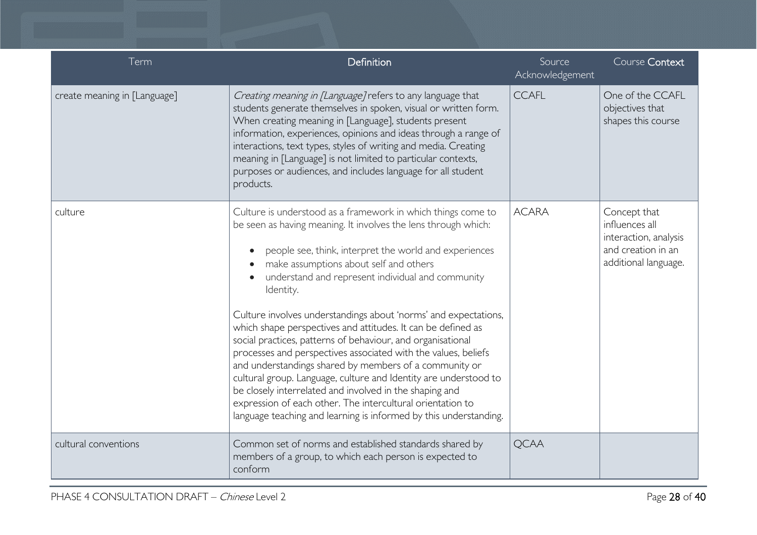| Term                         | Definition                                                                                                                                                                                                                                                                                                                                                                                                                                                                                                                                                                                                                                                                                                                                                                                                                                                                                           | Source<br>Acknowledgement | Course Context                                                                                        |
|------------------------------|------------------------------------------------------------------------------------------------------------------------------------------------------------------------------------------------------------------------------------------------------------------------------------------------------------------------------------------------------------------------------------------------------------------------------------------------------------------------------------------------------------------------------------------------------------------------------------------------------------------------------------------------------------------------------------------------------------------------------------------------------------------------------------------------------------------------------------------------------------------------------------------------------|---------------------------|-------------------------------------------------------------------------------------------------------|
| create meaning in [Language] | Creating meaning in [Language] refers to any language that<br>students generate themselves in spoken, visual or written form.<br>When creating meaning in [Language], students present<br>information, experiences, opinions and ideas through a range of<br>interactions, text types, styles of writing and media. Creating<br>meaning in [Language] is not limited to particular contexts,<br>purposes or audiences, and includes language for all student<br>products.                                                                                                                                                                                                                                                                                                                                                                                                                            | <b>CCAFL</b>              | One of the CCAFL<br>objectives that<br>shapes this course                                             |
| culture                      | Culture is understood as a framework in which things come to<br>be seen as having meaning. It involves the lens through which:<br>people see, think, interpret the world and experiences<br>make assumptions about self and others<br>understand and represent individual and community<br>Identity.<br>Culture involves understandings about 'norms' and expectations,<br>which shape perspectives and attitudes. It can be defined as<br>social practices, patterns of behaviour, and organisational<br>processes and perspectives associated with the values, beliefs<br>and understandings shared by members of a community or<br>cultural group. Language, culture and Identity are understood to<br>be closely interrelated and involved in the shaping and<br>expression of each other. The intercultural orientation to<br>language teaching and learning is informed by this understanding. | <b>ACARA</b>              | Concept that<br>influences all<br>interaction, analysis<br>and creation in an<br>additional language. |
| cultural conventions         | Common set of norms and established standards shared by<br>members of a group, to which each person is expected to<br>conform                                                                                                                                                                                                                                                                                                                                                                                                                                                                                                                                                                                                                                                                                                                                                                        | <b>QCAA</b>               |                                                                                                       |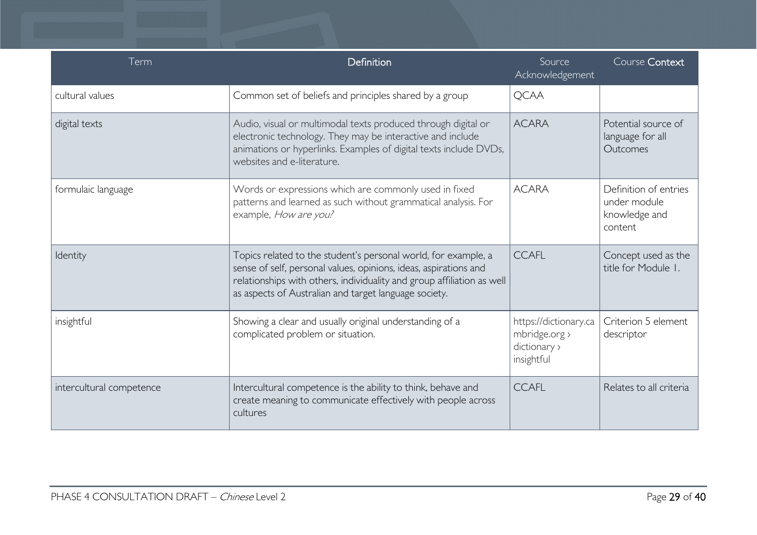| Term                     | Definition                                                                                                                                                                                                                                                            | Source<br>Acknowledgement                                            | Course Context                                                    |
|--------------------------|-----------------------------------------------------------------------------------------------------------------------------------------------------------------------------------------------------------------------------------------------------------------------|----------------------------------------------------------------------|-------------------------------------------------------------------|
| cultural values          | Common set of beliefs and principles shared by a group                                                                                                                                                                                                                | <b>QCAA</b>                                                          |                                                                   |
| digital texts            | Audio, visual or multimodal texts produced through digital or<br>electronic technology. They may be interactive and include<br>animations or hyperlinks. Examples of digital texts include DVDs,<br>websites and e-literature.                                        | <b>ACARA</b>                                                         | Potential source of<br>language for all<br>Outcomes               |
| formulaic language       | Words or expressions which are commonly used in fixed<br>patterns and learned as such without grammatical analysis. For<br>example, How are you?                                                                                                                      | <b>ACARA</b>                                                         | Definition of entries<br>under module<br>knowledge and<br>content |
| Identity                 | Topics related to the student's personal world, for example, a<br>sense of self, personal values, opinions, ideas, aspirations and<br>relationships with others, individuality and group affiliation as well<br>as aspects of Australian and target language society. | <b>CCAFL</b>                                                         | Concept used as the<br>title for Module 1.                        |
| insightful               | Showing a clear and usually original understanding of a<br>complicated problem or situation.                                                                                                                                                                          | https://dictionary.ca<br>mbridge.org ><br>dictionary ><br>insightful | Criterion 5 element<br>descriptor                                 |
| intercultural competence | Intercultural competence is the ability to think, behave and<br>create meaning to communicate effectively with people across<br>cultures                                                                                                                              | <b>CCAFL</b>                                                         | Relates to all criteria                                           |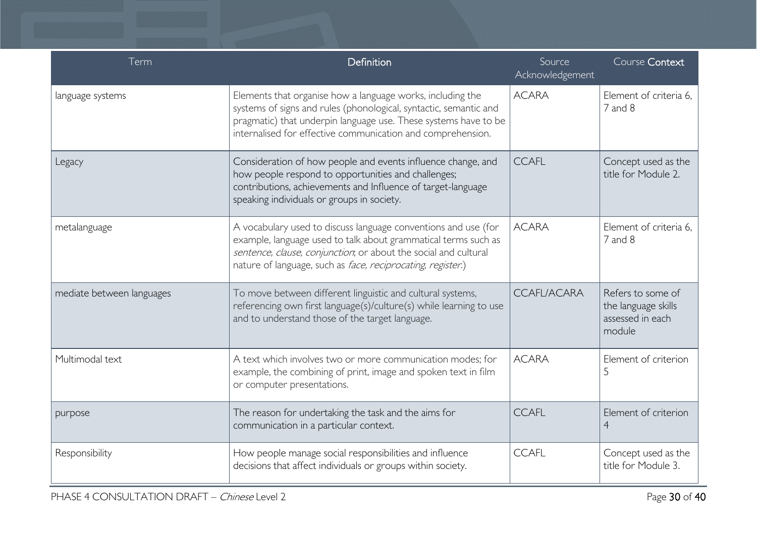| Term                      | Definition                                                                                                                                                                                                                                                         | Source<br>Acknowledgement | Course Context                                                         |
|---------------------------|--------------------------------------------------------------------------------------------------------------------------------------------------------------------------------------------------------------------------------------------------------------------|---------------------------|------------------------------------------------------------------------|
| language systems          | Elements that organise how a language works, including the<br>systems of signs and rules (phonological, syntactic, semantic and<br>pragmatic) that underpin language use. These systems have to be<br>internalised for effective communication and comprehension.  | <b>ACARA</b>              | Element of criteria 6.<br>7 and 8                                      |
| Legacy                    | Consideration of how people and events influence change, and<br>how people respond to opportunities and challenges;<br>contributions, achievements and Influence of target-language<br>speaking individuals or groups in society.                                  | <b>CCAFL</b>              | Concept used as the<br>title for Module 2.                             |
| metalanguage              | A vocabulary used to discuss language conventions and use (for<br>example, language used to talk about grammatical terms such as<br>sentence, clause, conjunction, or about the social and cultural<br>nature of language, such as face, reciprocating, register.) | <b>ACARA</b>              | Element of criteria 6.<br>7 and 8                                      |
| mediate between languages | To move between different linguistic and cultural systems,<br>referencing own first language(s)/culture(s) while learning to use<br>and to understand those of the target language.                                                                                | <b>CCAFL/ACARA</b>        | Refers to some of<br>the language skills<br>assessed in each<br>module |
| Multimodal text           | A text which involves two or more communication modes; for<br>example, the combining of print, image and spoken text in film<br>or computer presentations.                                                                                                         | <b>ACARA</b>              | Element of criterion<br>5                                              |
| purpose                   | The reason for undertaking the task and the aims for<br>communication in a particular context.                                                                                                                                                                     | <b>CCAFL</b>              | Element of criterion<br>$\overline{4}$                                 |
| Responsibility            | How people manage social responsibilities and influence<br>decisions that affect individuals or groups within society.                                                                                                                                             | <b>CCAFL</b>              | Concept used as the<br>title for Module 3.                             |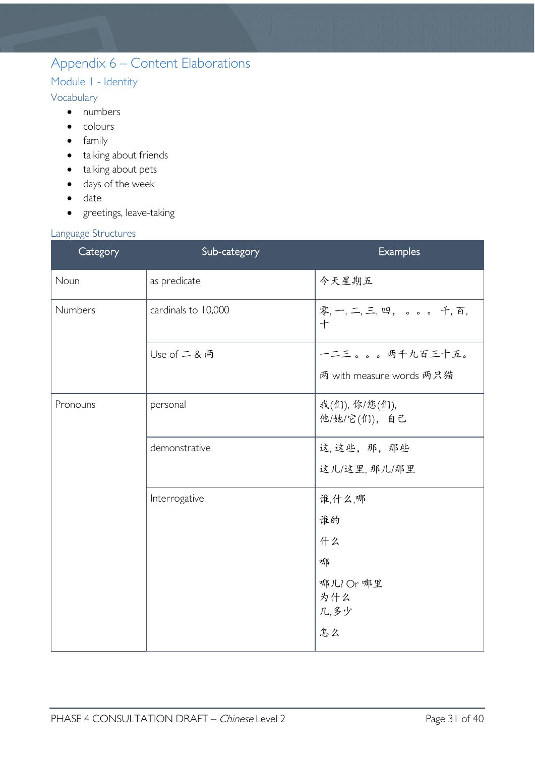# <span id="page-30-0"></span>Appendix 6 – Content Elaborations

## <span id="page-30-1"></span>Module 1 - Identity

### <span id="page-30-2"></span>Vocabulary

- numbers
- colours
- family
- talking about friends
- talking about pets
- days of the week
- date
- greetings, leave-taking

### <span id="page-30-3"></span>Language Structures

| 0 0<br>Category | Sub-category        | <b>Examples</b>                 |
|-----------------|---------------------|---------------------------------|
| Noun            | as predicate        | 今天星期五                           |
| Numbers         | cardinals to 10,000 | 零, 一, 二, 三, 四, 。。。。千, 百,<br>$+$ |
|                 | Use of 二 & 两        | 一二三。。。两千九百三十五。                  |
|                 |                     | 两 with measure words 两只猫        |
| Pronouns        | personal            | 我(们), 你/您(们),<br>他/她/它(们),自己    |
|                 | demonstrative       | 这,这些,那,那些                       |
|                 |                     | 这儿/这里, 那儿/那里                    |
|                 | Interrogative       | 谁,什么,哪                          |
|                 |                     | 谁的                              |
|                 |                     | 什么                              |
|                 |                     | 哪                               |
|                 |                     | 哪儿? Or 哪里                       |
|                 |                     | 为什么<br>几,多少                     |
|                 |                     | 怎么                              |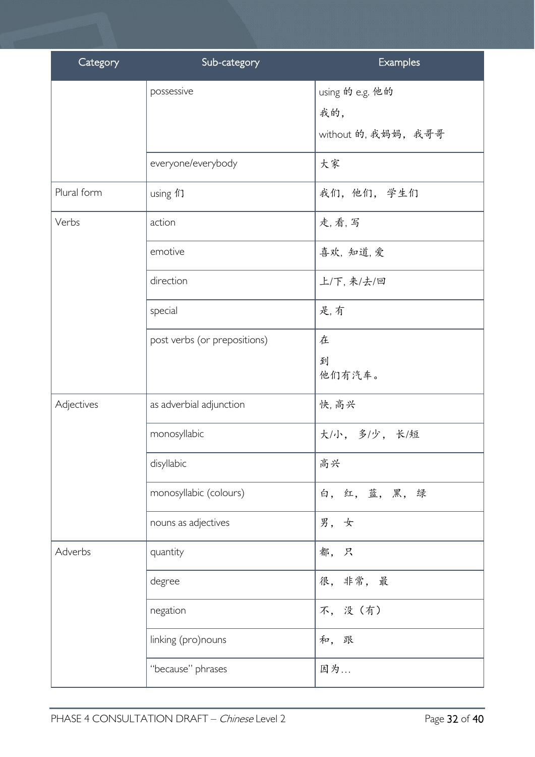| Category    | Sub-category                 | <b>Examples</b>                               |
|-------------|------------------------------|-----------------------------------------------|
|             | possessive                   | using 的 e.g. 他的<br>我的,<br>without 的, 我妈妈, 我哥哥 |
|             | everyone/everybody           | 大家                                            |
| Plural form | using 们                      | 我们,他们,学生们                                     |
| Verbs       | action                       | 走,看,写                                         |
|             | emotive                      | 喜欢, 知道, 爱                                     |
|             | direction                    | 上/下,来/去/回                                     |
|             | special                      | 是,有                                           |
|             | post verbs (or prepositions) | 在<br>到<br>他们有汽车。                              |
| Adjectives  | as adverbial adjunction      | 快, 高兴                                         |
|             | monosyllabic                 | 大/小, 多/少, 长/短                                 |
|             | disyllabic                   | 高兴                                            |
|             | monosyllabic (colours)       | 白, 红, 蓝, 黑, 绿                                 |
|             | nouns as adjectives          | 男,女                                           |
| Adverbs     | quantity                     | 都,只                                           |
|             | degree                       | 很, 非常, 最                                      |
|             | negation                     | 不,没(有)                                        |
|             | linking (pro)nouns           | 和, 跟                                          |
|             | "because" phrases            | 因为                                            |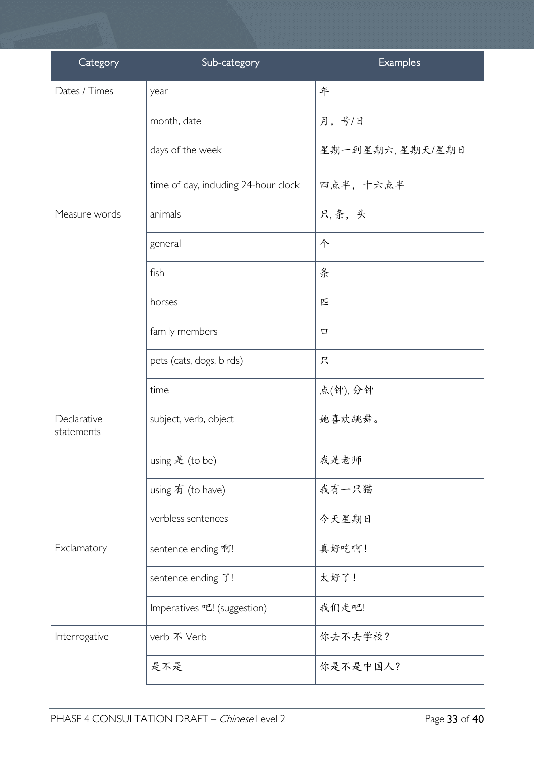| Category                  | Sub-category                         | Examples        |
|---------------------------|--------------------------------------|-----------------|
| Dates / Times             | year                                 | 年               |
|                           | month, date                          | 月,号/日           |
|                           | days of the week                     | 星期一到星期六,星期天/星期日 |
|                           | time of day, including 24-hour clock | 四点半, 十六点半       |
| Measure words             | animals                              | 只,条,头           |
|                           | general                              | 个               |
|                           | fish                                 | 条               |
|                           | horses                               | 匹               |
|                           | family members                       | 口               |
|                           | pets (cats, dogs, birds)             | 只               |
|                           | time                                 | 点(钟), 分钟        |
| Declarative<br>statements | subject, verb, object                | 她喜欢跳舞。          |
|                           | using 是 (to be)                      | 我是老师            |
|                           | using 有 (to have)                    | 我有一只猫           |
|                           | verbless sentences                   | 今天星期日           |
| Exclamatory               | sentence ending 啊!                   | 真好吃啊!           |
|                           | sentence ending $\mathfrak{I}!$      | 太好了!            |
|                           | Imperatives 吧! (suggestion)          | 我们走吧!           |
| Interrogative             | verb 不 Verb                          | 你去不去学校?         |
|                           | 是不是                                  | 你是不是中国人?        |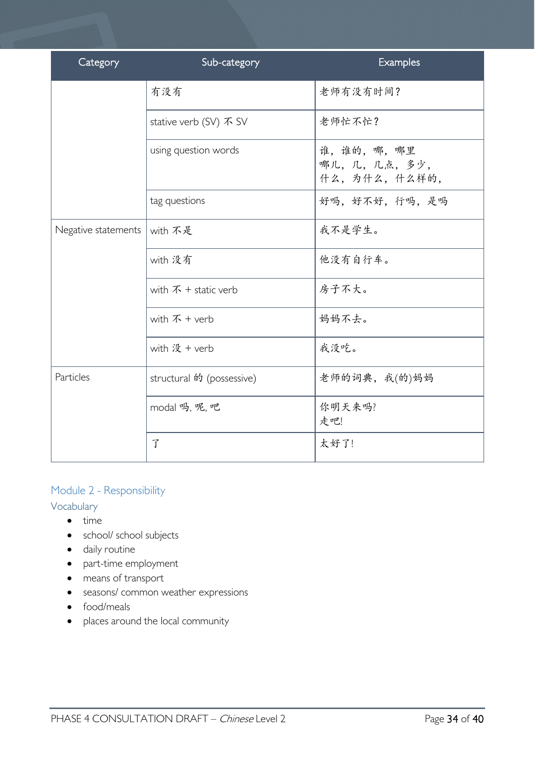| Category            | Sub-category                 | <b>Examples</b>                          |
|---------------------|------------------------------|------------------------------------------|
|                     | 有没有                          | 老师有没有时间?                                 |
|                     | stative verb (SV) 不 SV       | 老师忙不忙?                                   |
|                     | using question words         | 谁,谁的,哪,哪里<br>哪儿,几,几点,多少,<br>什么,为什么,什么样的, |
|                     | tag questions                | 好吗,好不好,行吗,是吗                             |
| Negative statements | with 不是                      | 我不是学生。                                   |
|                     | with 没有                      | 他没有自行车。                                  |
|                     | with $\bar{x}$ + static verb | 房子不大。                                    |
|                     | with $\bar{x}$ + verb        | 妈妈不去。                                    |
|                     | with 没 + verb                | 我没吃。                                     |
| Particles           | structural 的 (possessive)    | 老师的词典, 我(的)妈妈                            |
|                     | modal 吗, 呢, 吧                | 你明天来吗?<br>走吧!                            |
|                     | 了                            | 太好了!                                     |

### <span id="page-33-0"></span>Module 2 - Responsibility

### <span id="page-33-1"></span>Vocabulary

- time
- school/ school subjects
- daily routine
- part-time employment
- means of transport
- seasons/ common weather expressions
- food/meals
- places around the local community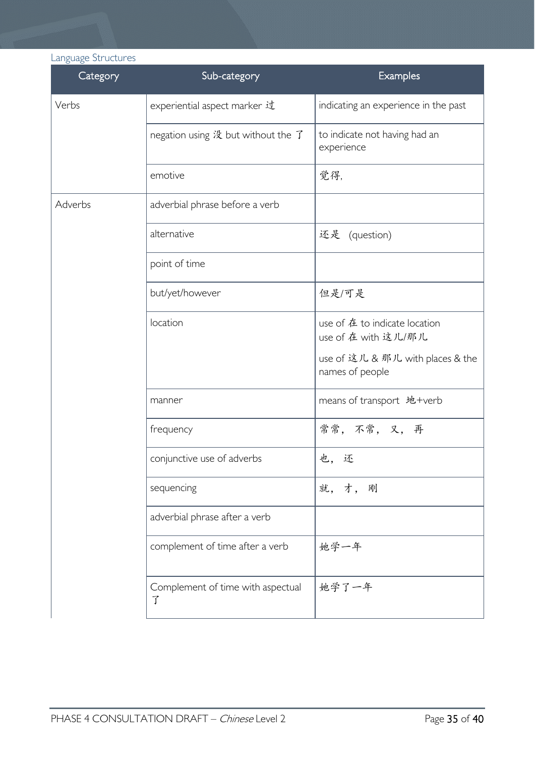# <span id="page-34-0"></span>Language Structures

| Category | Sub-category                           | <b>Examples</b>                                      |
|----------|----------------------------------------|------------------------------------------------------|
| Verbs    | experiential aspect marker 过           | indicating an experience in the past                 |
|          | negation using 没 but without the 了     | to indicate not having had an<br>experience          |
|          | emotive                                | 觉得,                                                  |
| Adverbs  | adverbial phrase before a verb         |                                                      |
|          | alternative                            | 还是 (question)                                        |
|          | point of time                          |                                                      |
|          | but/yet/however                        | 但是/可是                                                |
|          | location                               | use of 在 to indicate location<br>use of 在 with 这儿/那儿 |
|          |                                        | use of 这儿 & 那儿 with places & the<br>names of people  |
|          | manner                                 | means of transport 地+verb                            |
|          | frequency                              | 常常, 不常, 又, 再                                         |
|          | conjunctive use of adverbs             | 也,还                                                  |
|          | sequencing                             | 就, 才, 刚                                              |
|          | adverbial phrase after a verb          |                                                      |
|          | complement of time after a verb        | 她学一年                                                 |
|          | Complement of time with aspectual<br>了 | 她学了一年                                                |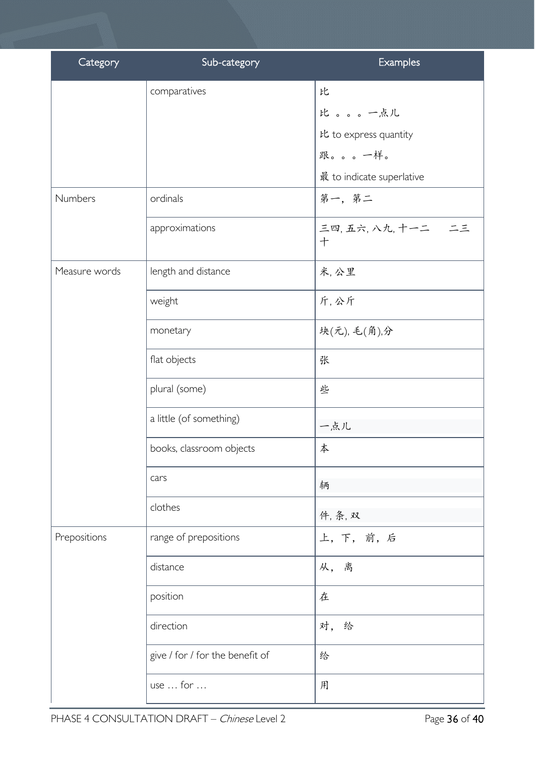| Category      | Sub-category                    | Examples                  |
|---------------|---------------------------------|---------------------------|
|               | comparatives                    | 比                         |
|               |                                 | 比。。。一点儿                   |
|               |                                 | 比 to express quantity     |
|               |                                 | 跟。。。一样。                   |
|               |                                 | 最 to indicate superlative |
| Numbers       | ordinals                        | 第一,第二                     |
|               | approximations                  | 三四,五六,八九,十一二 二三<br>十      |
| Measure words | length and distance             | 米,公里                      |
|               | weight                          | 斤,公斤                      |
|               | monetary                        | 块(元), 毛(角),分              |
|               | flat objects                    | 张                         |
|               | plural (some)                   | 些                         |
|               | a little (of something)         | 一点儿                       |
|               | books, classroom objects        | 本                         |
|               | cars                            | 辆                         |
|               | clothes                         | 件, 条, 双                   |
| Prepositions  | range of prepositions           | 上,下,前,后                   |
|               | distance                        | 从,离                       |
|               | position                        | 在                         |
|               | direction                       | 对,<br>给                   |
|               | give / for / for the benefit of | 给                         |
|               | use  for                        | 用                         |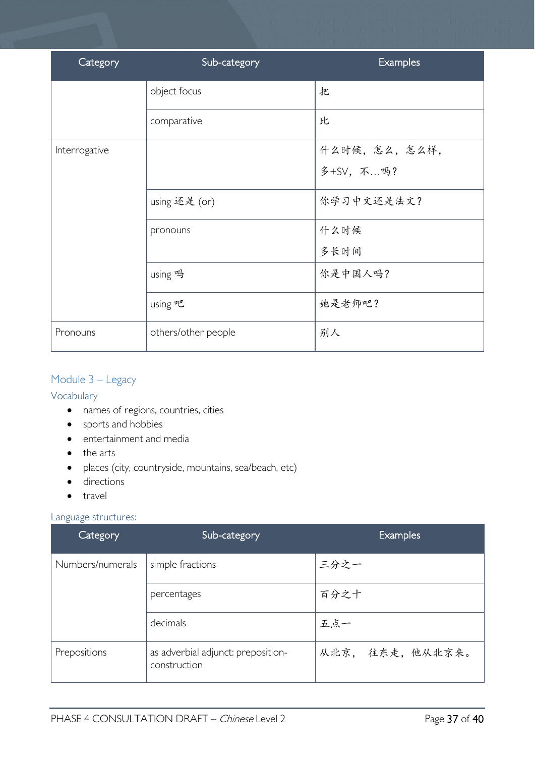| Category      | Sub-category        | Examples     |
|---------------|---------------------|--------------|
|               | object focus        | 把            |
|               | comparative         | 比            |
| Interrogative |                     | 什么时候,怎么,怎么样, |
|               |                     | 多+SV, 不吗?    |
|               | using 还是 (or)       | 你学习中文还是法文?   |
|               | pronouns            | 什么时候         |
|               |                     | 多长时间         |
|               | using 吗             | 你是中国人吗?      |
|               | using 吧             | 她是老师吧?       |
| Pronouns      | others/other people | 别人           |

### <span id="page-36-0"></span>Module 3 – Legacy

<span id="page-36-1"></span>Vocabulary

- names of regions, countries, cities
- sports and hobbies
- entertainment and media
- the arts
- places (city, countryside, mountains, sea/beach, etc)
- directions
- travel

### <span id="page-36-2"></span>Language structures:

| Category         | Sub-category                                       | <b>Examples</b>  |
|------------------|----------------------------------------------------|------------------|
| Numbers/numerals | simple fractions                                   | 三分之一             |
|                  | percentages                                        | 百分之十             |
|                  | decimals                                           | 五点一              |
| Prepositions     | as adverbial adjunct: preposition-<br>construction | 从北京, 往东走, 他从北京来。 |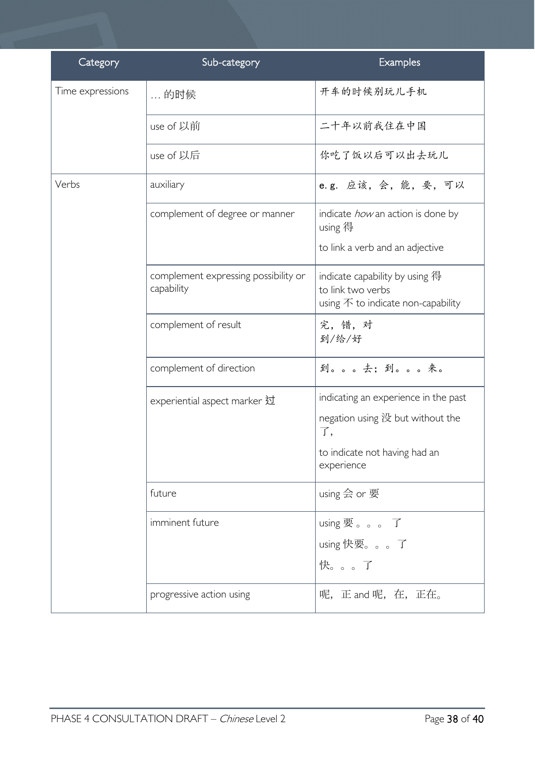| Category         | Sub-category                                       | Examples                                                                                                    |
|------------------|----------------------------------------------------|-------------------------------------------------------------------------------------------------------------|
| Time expressions | … 的时候                                              | 开车的时候别玩儿手机                                                                                                  |
|                  | use of 以前                                          | 二十年以前我住在中国                                                                                                  |
|                  | use of 以后                                          | 你吃了饭以后可以出去玩儿                                                                                                |
| Verbs            | auxiliary                                          | e.g. 应该, 会, 能, 要, 可以                                                                                        |
|                  | complement of degree or manner                     | indicate <i>how</i> an action is done by<br>using 得                                                         |
|                  |                                                    | to link a verb and an adjective                                                                             |
|                  | complement expressing possibility or<br>capability | indicate capability by using 得<br>to link two verbs<br>using $\bar{\mathcal{F}}$ to indicate non-capability |
|                  | complement of result                               | 完, 错, 对<br>到/给/好                                                                                            |
|                  | complement of direction                            | 到。。。去;到。。。来。                                                                                                |
|                  | experiential aspect marker 过                       | indicating an experience in the past                                                                        |
|                  |                                                    | negation using 没 but without the<br>了,                                                                      |
|                  |                                                    | to indicate not having had an<br>experience                                                                 |
|                  | future                                             | using 会 or 要                                                                                                |
|                  | imminent future                                    | using 要。。。了                                                                                                 |
|                  |                                                    | using快要。。了                                                                                                  |
|                  |                                                    | 快。。。了                                                                                                       |
|                  | progressive action using                           | 呢, 正 and 呢, 在, 正在。                                                                                          |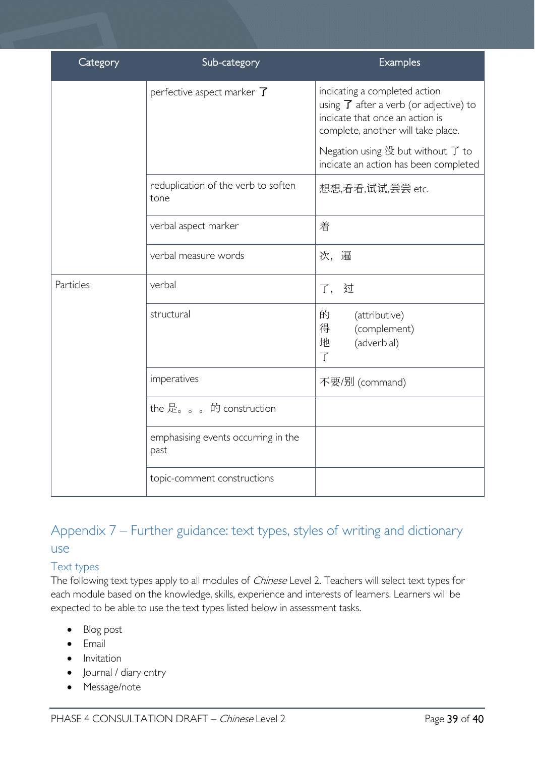| Category  | Sub-category                                | <b>Examples</b>                                                                                                                                               |
|-----------|---------------------------------------------|---------------------------------------------------------------------------------------------------------------------------------------------------------------|
|           | perfective aspect marker $\overline{J}$     | indicating a completed action<br>using $\overline{J}$ after a verb (or adjective) to<br>indicate that once an action is<br>complete, another will take place. |
|           |                                             | Negation using 没 but without 了 to<br>indicate an action has been completed                                                                                    |
|           | reduplication of the verb to soften<br>tone | 想想,看看,试试,尝尝 etc.                                                                                                                                              |
|           | verbal aspect marker                        | 着                                                                                                                                                             |
|           | verbal measure words                        | 次, 遍                                                                                                                                                          |
| Particles | verbal                                      | 了,过                                                                                                                                                           |
|           | structural                                  | 的<br>(attributive)<br>得<br>(complement)<br>地<br>(adverbial)<br>$\overline{f}$                                                                                 |
|           | imperatives                                 | 不要/别 (command)                                                                                                                                                |
|           | the 是。。。的 construction                      |                                                                                                                                                               |
|           | emphasising events occurring in the<br>past |                                                                                                                                                               |
|           | topic-comment constructions                 |                                                                                                                                                               |

# <span id="page-38-0"></span>Appendix 7 – Further guidance: text types, styles of writing and dictionary use

### <span id="page-38-1"></span>Text types

The following text types apply to all modules of *Chinese* Level 2. Teachers will select text types for each module based on the knowledge, skills, experience and interests of learners. Learners will be expected to be able to use the text types listed below in assessment tasks.

- Blog post
- Email
- Invitation
- Journal / diary entry
- Message/note